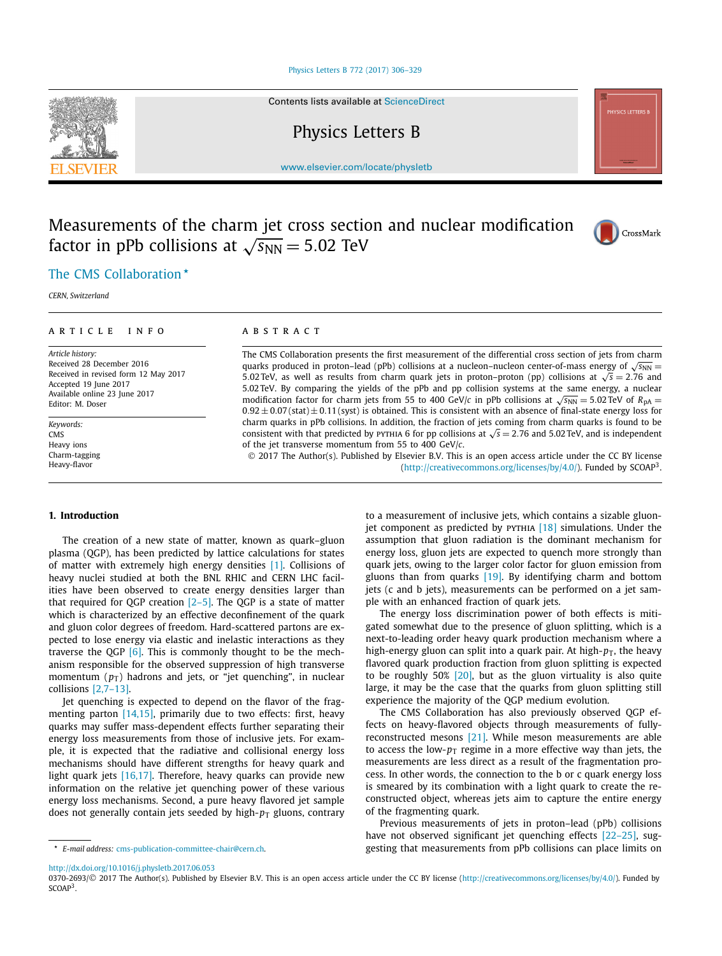#### [Physics Letters B 772 \(2017\) 306–329](http://dx.doi.org/10.1016/j.physletb.2017.06.053)

Contents lists available at [ScienceDirect](http://www.ScienceDirect.com/)

Physics Letters B

[www.elsevier.com/locate/physletb](http://www.elsevier.com/locate/physletb)



# Measurements of the charm jet cross section and nuclear modification factor in pPb collisions at  $\sqrt{s_{NN}}$  = 5.02 TeV



# .The CMS [Collaboration](#page-8-0) *-*

*CERN, Switzerland*

#### A R T I C L E I N F O A B S T R A C T

*Article history:* Received 28 December 2016 Received in revised form 12 May 2017 Accepted 19 June 2017 Available online 23 June 2017 Editor: M. Doser

*Keywords:* CMS Heavy ions Charm-tagging Heavy-flavor

The CMS Collaboration presents the first measurement of the differential cross section of jets from charm quarks produced in proton–lead (pPb) collisions at a nucleon–nucleon center-of-mass energy of  $\sqrt{s_{NN}}$  = 5.02 TeV, as well as results from charm quark jets in proton–proton (pp) collisions at  $\sqrt{s} = 2.76$  and 5.02 TeV. By comparing the yields of the pPb and pp collision systems at the same energy, a nuclear modification factor for charm jets from 55 to 400 GeV/*c* in pPb collisions at  $\sqrt{s_{NN}}$  = 5.02 TeV of  $R_{pA}$  =  $0.92 \pm 0.07$  (stat)  $\pm 0.11$  (syst) is obtained. This is consistent with an absence of final-state energy loss for charm quarks in pPb collisions. In addition, the fraction of jets coming from charm quarks is found to be consistent with that predicted by PYTHIA 6 for pp collisions at  $\sqrt{s}$  = 2.76 and 5.02 TeV, and is independent of the jet transverse momentum from 55 to 400 GeV/*c*.

© 2017 The Author(s). Published by Elsevier B.V. This is an open access article under the CC BY license [\(http://creativecommons.org/licenses/by/4.0/\)](http://creativecommons.org/licenses/by/4.0/). Funded by SCOAP3.

### **1. Introduction**

The creation of a new state of matter, known as quark–gluon plasma (QGP), has been predicted by lattice calculations for states of matter with extremely high energy densities [\[1\].](#page-6-0) Collisions of heavy nuclei studied at both the BNL RHIC and CERN LHC facilities have been observed to create energy densities larger than that required for OGP creation  $[2-5]$ . The OGP is a state of matter which is characterized by an effective deconfinement of the quark and gluon color degrees of freedom. Hard-scattered partons are expected to lose energy via elastic and inelastic interactions as they traverse the QGP  $[6]$ . This is commonly thought to be the mechanism responsible for the observed suppression of high transverse momentum  $(p_T)$  hadrons and jets, or "jet quenching", in nuclear collisions [\[2,7–13\].](#page-7-0)

Jet quenching is expected to depend on the flavor of the fragmenting parton [\[14,15\],](#page-7-0) primarily due to two effects: first, heavy quarks may suffer mass-dependent effects further separating their energy loss measurements from those of inclusive jets. For example, it is expected that the radiative and collisional energy loss mechanisms should have different strengths for heavy quark and light quark jets [\[16,17\].](#page-7-0) Therefore, heavy quarks can provide new information on the relative jet quenching power of these various energy loss mechanisms. Second, a pure heavy flavored jet sample does not generally contain jets seeded by high- $p_T$  gluons, contrary

to a measurement of inclusive jets, which contains a sizable gluonjet component as predicted by  $PTHIA$  [\[18\]](#page-7-0) simulations. Under the assumption that gluon radiation is the dominant mechanism for energy loss, gluon jets are expected to quench more strongly than quark jets, owing to the larger color factor for gluon emission from gluons than from quarks [\[19\].](#page-7-0) By identifying charm and bottom jets (c and b jets), measurements can be performed on a jet sample with an enhanced fraction of quark jets.

The energy loss discrimination power of both effects is mitigated somewhat due to the presence of gluon splitting, which is a next-to-leading order heavy quark production mechanism where a high-energy gluon can split into a quark pair. At high- $p<sub>T</sub>$ , the heavy flavored quark production fraction from gluon splitting is expected to be roughly 50% [\[20\],](#page-7-0) but as the gluon virtuality is also quite large, it may be the case that the quarks from gluon splitting still experience the majority of the QGP medium evolution.

The CMS Collaboration has also previously observed QGP effects on heavy-flavored objects through measurements of fullyreconstructed mesons [\[21\].](#page-7-0) While meson measurements are able to access the low- $p<sub>T</sub>$  regime in a more effective way than jets, the measurements are less direct as a result of the fragmentation process. In other words, the connection to the b or c quark energy loss is smeared by its combination with a light quark to create the reconstructed object, whereas jets aim to capture the entire energy of the fragmenting quark.

Previous measurements of jets in proton–lead (pPb) collisions have not observed significant jet quenching effects [\[22–25\],](#page-7-0) suggesting that measurements from pPb collisions can place limits on

0370-2693/© 2017 The Author(s). Published by Elsevier B.V. This is an open access article under the CC BY license [\(http://creativecommons.org/licenses/by/4.0/](http://creativecommons.org/licenses/by/4.0/)). Funded by SCOAP<sup>3</sup>.



*<sup>-</sup> E-mail address:* [cms-publication-committee-chair@cern.ch](mailto:cms-publication-committee-chair@cern.ch).

<http://dx.doi.org/10.1016/j.physletb.2017.06.053>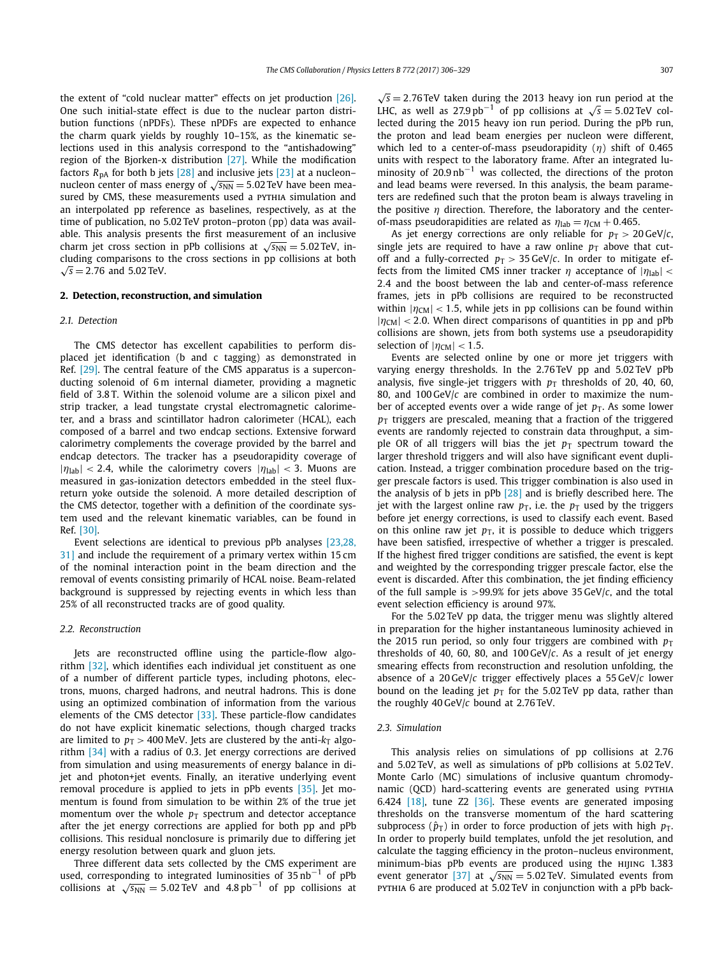the extent of "cold nuclear matter" effects on jet production [\[26\].](#page-7-0) One such initial-state effect is due to the nuclear parton distribution functions (nPDFs). These nPDFs are expected to enhance the charm quark yields by roughly 10–15%, as the kinematic selections used in this analysis correspond to the "antishadowing" region of the Bjorken-x distribution [\[27\].](#page-7-0) While the modification factors  $R_{pA}$  for both b jets [\[28\]](#page-7-0) and inclusive jets [\[23\]](#page-7-0) at a nucleon– nucleon center of mass energy of  $\sqrt{s_{NN}} = 5.02$  TeV have been measured by CMS, these measurements used a PYTHIA simulation and an interpolated pp reference as baselines, respectively, as at the time of publication, no 5.02 TeV proton–proton (pp) data was available. This analysis presents the first measurement of an inclusive charm jet cross section in pPb collisions at  $\sqrt{s_{NN}} = 5.02$  TeV, including comparisons to the cross sections in pp collisions at both  $√s = 2.76$  and 5.02 TeV.

### **2. Detection, reconstruction, and simulation**

### *2.1. Detection*

The CMS detector has excellent capabilities to perform displaced jet identification (b and c tagging) as demonstrated in Ref. [\[29\].](#page-7-0) The central feature of the CMS apparatus is a superconducting solenoid of 6 m internal diameter, providing a magnetic field of 3.8 T. Within the solenoid volume are a silicon pixel and strip tracker, a lead tungstate crystal electromagnetic calorimeter, and a brass and scintillator hadron calorimeter (HCAL), each composed of a barrel and two endcap sections. Extensive forward calorimetry complements the coverage provided by the barrel and endcap detectors. The tracker has a pseudorapidity coverage of  $|\eta_{lab}|$  < 2.4, while the calorimetry covers  $|\eta_{lab}|$  < 3. Muons are measured in gas-ionization detectors embedded in the steel fluxreturn yoke outside the solenoid. A more detailed description of the CMS detector, together with a definition of the coordinate system used and the relevant kinematic variables, can be found in Ref. [\[30\].](#page-7-0)

Event selections are identical to previous pPb analyses [\[23,28,](#page-7-0) [31\]](#page-7-0) and include the requirement of a primary vertex within 15 cm of the nominal interaction point in the beam direction and the removal of events consisting primarily of HCAL noise. Beam-related background is suppressed by rejecting events in which less than 25% of all reconstructed tracks are of good quality.

### *2.2. Reconstruction*

Jets are reconstructed offline using the particle-flow algorithm [\[32\],](#page-7-0) which identifies each individual jet constituent as one of a number of different particle types, including photons, electrons, muons, charged hadrons, and neutral hadrons. This is done using an optimized combination of information from the various elements of the CMS detector [\[33\].](#page-7-0) These particle-flow candidates do not have explicit kinematic selections, though charged tracks are limited to  $p_T > 400$  MeV. Jets are clustered by the anti- $k_T$  algorithm [\[34\]](#page-7-0) with a radius of 0.3. Jet energy corrections are derived from simulation and using measurements of energy balance in dijet and photon+jet events. Finally, an iterative underlying event removal procedure is applied to jets in pPb events [\[35\].](#page-7-0) Jet momentum is found from simulation to be within 2% of the true jet momentum over the whole  $p_T$  spectrum and detector acceptance after the jet energy corrections are applied for both pp and pPb collisions. This residual nonclosure is primarily due to differing jet energy resolution between quark and gluon jets.

Three different data sets collected by the CMS experiment are used, corresponding to integrated luminosities of 35 nb<sup>-1</sup> of pPb collisions at  $\sqrt{s_{NN}}$  = 5.02 TeV and 4.8 pb<sup>-1</sup> of pp collisions at <sup>√</sup>*<sup>s</sup>* <sup>=</sup> <sup>2</sup>*.*<sup>76</sup> TeV taken during the <sup>2013</sup> heavy ion run period at the LHC, as well as 27.9 pb<sup>-1</sup> of pp collisions at  $\sqrt{s} = 5.02$  TeV collected during the 2015 heavy ion run period. During the pPb run, the proton and lead beam energies per nucleon were different, which led to a center-of-mass pseudorapidity (*η*) shift of 0.465 units with respect to the laboratory frame. After an integrated luminosity of  $20.9 \text{ nb}^{-1}$  was collected, the directions of the proton and lead beams were reversed. In this analysis, the beam parameters are redefined such that the proton beam is always traveling in the positive *η* direction. Therefore, the laboratory and the centerof-mass pseudorapidities are related as  $\eta_{lab} = \eta_{CM} + 0.465$ .

As jet energy corrections are only reliable for  $p_T > 20 \text{ GeV/c}$ , single jets are required to have a raw online  $p<sub>T</sub>$  above that cutoff and a fully-corrected  $p_T > 35$  GeV/*c*. In order to mitigate effects from the limited CMS inner tracker  $\eta$  acceptance of  $|\eta_{lab}| <$ 2*.*4 and the boost between the lab and center-of-mass reference frames, jets in pPb collisions are required to be reconstructed within  $|\eta_{CM}|$  < 1.5, while jets in pp collisions can be found within  $|\eta_{CM}|$  < 2.0. When direct comparisons of quantities in pp and pPb collisions are shown, jets from both systems use a pseudorapidity selection of  $|\eta_{CM}|$  < 1.5.

Events are selected online by one or more jet triggers with varying energy thresholds. In the 2.76 TeV pp and 5.02 TeV pPb analysis, five single-jet triggers with  $p<sub>T</sub>$  thresholds of 20, 40, 60, 80, and 100 GeV/*c* are combined in order to maximize the number of accepted events over a wide range of jet  $p<sub>T</sub>$ . As some lower  $p<sub>T</sub>$  triggers are prescaled, meaning that a fraction of the triggered events are randomly rejected to constrain data throughput, a simple OR of all triggers will bias the jet  $p<sub>T</sub>$  spectrum toward the larger threshold triggers and will also have significant event duplication. Instead, a trigger combination procedure based on the trigger prescale factors is used. This trigger combination is also used in the analysis of b jets in pPb [\[28\]](#page-7-0) and is briefly described here. The jet with the largest online raw  $p<sub>T</sub>$ , i.e. the  $p<sub>T</sub>$  used by the triggers before jet energy corrections, is used to classify each event. Based on this online raw jet  $p<sub>T</sub>$ , it is possible to deduce which triggers have been satisfied, irrespective of whether a trigger is prescaled. If the highest fired trigger conditions are satisfied, the event is kept and weighted by the corresponding trigger prescale factor, else the event is discarded. After this combination, the jet finding efficiency of the full sample is *>*99.9% for jets above 35 GeV/*c*, and the total event selection efficiency is around 97%.

For the 5.02 TeV pp data, the trigger menu was slightly altered in preparation for the higher instantaneous luminosity achieved in the 2015 run period, so only four triggers are combined with  $p_T$ thresholds of 40, 60, 80, and 100 GeV/*c*. As a result of jet energy smearing effects from reconstruction and resolution unfolding, the absence of a 20 GeV/*c* trigger effectively places a 55 GeV/*c* lower bound on the leading jet  $p<sub>T</sub>$  for the 5.02 TeV pp data, rather than the roughly 40 GeV/*c* bound at 2.76 TeV.

#### *2.3. Simulation*

This analysis relies on simulations of pp collisions at 2.76 and 5.02 TeV, as well as simulations of pPb collisions at 5.02 TeV. Monte Carlo (MC) simulations of inclusive quantum chromodynamic (QCD) hard-scattering events are generated using pythia 6.424  $[18]$ , tune Z2  $[36]$ . These events are generated imposing thresholds on the transverse momentum of the hard scattering subprocess ( $\hat{p}_T$ ) in order to force production of jets with high  $p_T$ . In order to properly build templates, unfold the jet resolution, and calculate the tagging efficiency in the proton–nucleus environment, minimum-bias pPb events are produced using the hijing 1.383 event generator [\[37\]](#page-7-0) at  $\sqrt{s_{NN}}$  = 5.02 TeV. Simulated events from pythia 6 are produced at 5.02 TeV in conjunction with a pPb back-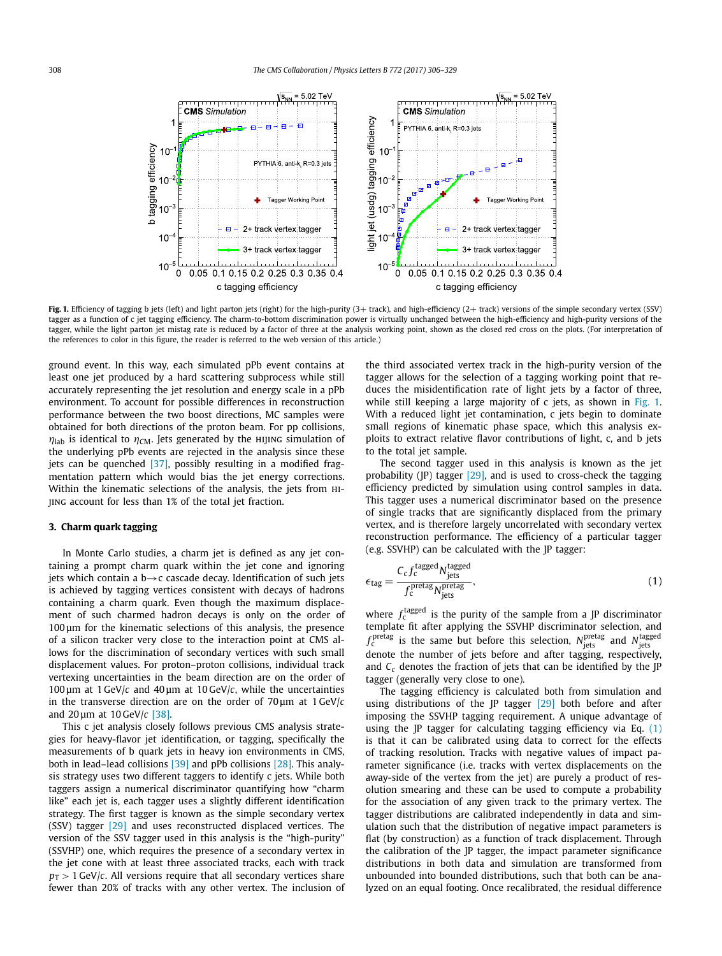<span id="page-2-0"></span>

Fig. 1. Efficiency of tagging b jets (left) and light parton jets (right) for the high-purity (3+ track), and high-efficiency (2+ track) versions of the simple secondary vertex (SSV) tagger as a function of c jet tagging efficiency. The charm-to-bottom discrimination power is virtually unchanged between the high-efficiency and high-purity versions of the tagger, while the light parton jet mistag rate is reduced by a factor of three at the analysis working point, shown as the closed red cross on the plots. (For interpretation of the references to color in this figure, the reader is referred to the web version of this article.)

ground event. In this way, each simulated pPb event contains at least one jet produced by a hard scattering subprocess while still accurately representing the jet resolution and energy scale in a pPb environment. To account for possible differences in reconstruction performance between the two boost directions, MC samples were obtained for both directions of the proton beam. For pp collisions,  $\eta_{lab}$  is identical to  $\eta_{CM}$ . Jets generated by the HIJING simulation of the underlying pPb events are rejected in the analysis since these jets can be quenched  $[37]$ , possibly resulting in a modified fragmentation pattern which would bias the jet energy corrections. Within the kinematic selections of the analysis, the jets from hijing account for less than 1% of the total jet fraction.

### **3. Charm quark tagging**

In Monte Carlo studies, a charm jet is defined as any jet containing a prompt charm quark within the jet cone and ignoring jets which contain a  $b \rightarrow c$  cascade decay. Identification of such jets is achieved by tagging vertices consistent with decays of hadrons containing a charm quark. Even though the maximum displacement of such charmed hadron decays is only on the order of 100 μm for the kinematic selections of this analysis, the presence of a silicon tracker very close to the interaction point at CMS allows for the discrimination of secondary vertices with such small displacement values. For proton–proton collisions, individual track vertexing uncertainties in the beam direction are on the order of 100 μm at 1 GeV/*c* and 40 μm at 10 GeV/*c*, while the uncertainties in the transverse direction are on the order of 70 μm at 1 GeV/*c* and 20 μm at 10 GeV/*c* [\[38\].](#page-7-0)

This c jet analysis closely follows previous CMS analysis strategies for heavy-flavor jet identification, or tagging, specifically the measurements of b quark jets in heavy ion environments in CMS, both in lead–lead collisions [\[39\]](#page-7-0) and pPb collisions [\[28\].](#page-7-0) This analysis strategy uses two different taggers to identify c jets. While both taggers assign a numerical discriminator quantifying how "charm like" each jet is, each tagger uses a slightly different identification strategy. The first tagger is known as the simple secondary vertex (SSV) tagger [\[29\]](#page-7-0) and uses reconstructed displaced vertices. The version of the SSV tagger used in this analysis is the "high-purity" (SSVHP) one, which requires the presence of a secondary vertex in the jet cone with at least three associated tracks, each with track  $p_T > 1$  GeV/*c*. All versions require that all secondary vertices share fewer than 20% of tracks with any other vertex. The inclusion of the third associated vertex track in the high-purity version of the tagger allows for the selection of a tagging working point that reduces the misidentification rate of light jets by a factor of three, while still keeping a large majority of c jets, as shown in Fig. 1. With a reduced light jet contamination, c jets begin to dominate small regions of kinematic phase space, which this analysis exploits to extract relative flavor contributions of light, c, and b jets to the total jet sample.

The second tagger used in this analysis is known as the jet probability (JP) tagger  $[29]$ , and is used to cross-check the tagging efficiency predicted by simulation using control samples in data. This tagger uses a numerical discriminator based on the presence of single tracks that are significantly displaced from the primary vertex, and is therefore largely uncorrelated with secondary vertex reconstruction performance. The efficiency of a particular tagger (e.g. SSVHP) can be calculated with the JP tagger:

$$
\epsilon_{\text{tag}} = \frac{C_c f_c^{\text{tagged}} N_{\text{jets}}^{\text{tag}}}{f_c^{\text{pretag}} N_{\text{jets}}^{\text{pretag}}},\tag{1}
$$

where  $f_c^{\text{tagged}}$  is the purity of the sample from a JP discriminator template fit after applying the SSVHP discriminator selection, and  $f_c^{\text{pretag}}$  is the same but before this selection,  $N_{\text{jets}}^{\text{pretag}}$  and  $N_{\text{jets}}^{\text{tagged}}$ denote the number of jets before and after tagging, respectively, and  $C_c$  denotes the fraction of jets that can be identified by the  $JP$ tagger (generally very close to one).

The tagging efficiency is calculated both from simulation and using distributions of the JP tagger  $[29]$  both before and after imposing the SSVHP tagging requirement. A unique advantage of using the JP tagger for calculating tagging efficiency via Eq.  $(1)$ is that it can be calibrated using data to correct for the effects of tracking resolution. Tracks with negative values of impact parameter significance (i.e. tracks with vertex displacements on the away-side of the vertex from the jet) are purely a product of resolution smearing and these can be used to compute a probability for the association of any given track to the primary vertex. The tagger distributions are calibrated independently in data and simulation such that the distribution of negative impact parameters is flat (by construction) as a function of track displacement. Through the calibration of the JP tagger, the impact parameter significance distributions in both data and simulation are transformed from unbounded into bounded distributions, such that both can be analyzed on an equal footing. Once recalibrated, the residual difference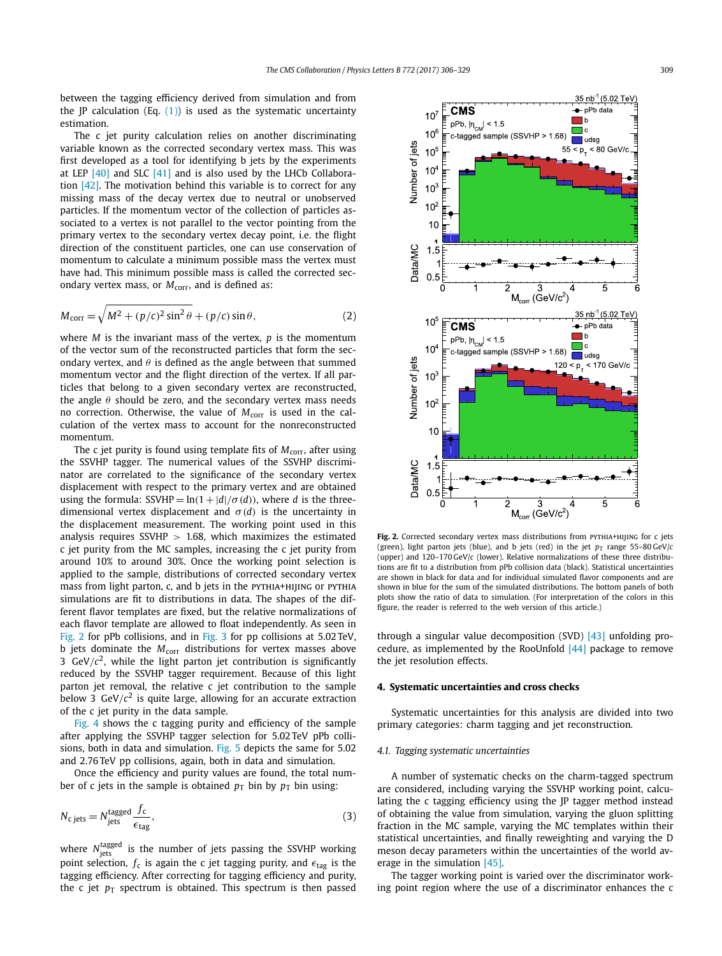between the tagging efficiency derived from simulation and from the JP calculation (Eq.  $(1)$ ) is used as the systematic uncertainty estimation.

The c jet purity calculation relies on another discriminating variable known as the corrected secondary vertex mass. This was first developed as a tool for identifying b jets by the experiments at LEP  $[40]$  and SLC  $[41]$  and is also used by the LHCb Collaboration [\[42\].](#page-7-0) The motivation behind this variable is to correct for any missing mass of the decay vertex due to neutral or unobserved particles. If the momentum vector of the collection of particles associated to a vertex is not parallel to the vector pointing from the primary vertex to the secondary vertex decay point, i.e. the flight direction of the constituent particles, one can use conservation of momentum to calculate a minimum possible mass the vertex must have had. This minimum possible mass is called the corrected secondary vertex mass, or  $M_{\text{corr}}$ , and is defined as:

$$
M_{\text{corr}} = \sqrt{M^2 + (p/c)^2 \sin^2 \theta} + (p/c) \sin \theta,\tag{2}
$$

where *M* is the invariant mass of the vertex, *p* is the momentum of the vector sum of the reconstructed particles that form the secondary vertex, and  $\theta$  is defined as the angle between that summed momentum vector and the flight direction of the vertex. If all particles that belong to a given secondary vertex are reconstructed, the angle *θ* should be zero, and the secondary vertex mass needs no correction. Otherwise, the value of  $M_{\text{corr}}$  is used in the calculation of the vertex mass to account for the nonreconstructed momentum.

The c jet purity is found using template fits of *M<sub>corr</sub>*, after using the SSVHP tagger. The numerical values of the SSVHP discriminator are correlated to the significance of the secondary vertex displacement with respect to the primary vertex and are obtained using the formula: SSVHP =  $\ln(1+|d|/\sigma(d))$ , where *d* is the threedimensional vertex displacement and  $\sigma(d)$  is the uncertainty in the displacement measurement. The working point used in this analysis requires SSVHP *>* 1.68, which maximizes the estimated c jet purity from the MC samples, increasing the c jet purity from around 10% to around 30%. Once the working point selection is applied to the sample, distributions of corrected secondary vertex mass from light parton, c, and b jets in the pythia+hijing or pythia simulations are fit to distributions in data. The shapes of the different flavor templates are fixed, but the relative normalizations of each flavor template are allowed to float independently. As seen in Fig. 2 for pPb collisions, and in [Fig. 3](#page-4-0) for pp collisions at 5.02 TeV, b jets dominate the *M*<sub>corr</sub> distributions for vertex masses above 3 GeV/ $c^2$ , while the light parton jet contribution is significantly reduced by the SSVHP tagger requirement. Because of this light parton jet removal, the relative c jet contribution to the sample below 3  $GeV/c^2$  is quite large, allowing for an accurate extraction of the c jet purity in the data sample.

[Fig. 4](#page-4-0) shows the c tagging purity and efficiency of the sample after applying the SSVHP tagger selection for 5.02 TeV pPb collisions, both in data and simulation. [Fig. 5](#page-5-0) depicts the same for 5.02 and 2.76 TeV pp collisions, again, both in data and simulation.

Once the efficiency and purity values are found, the total number of c jets in the sample is obtained  $p<sub>T</sub>$  bin by  $p<sub>T</sub>$  bin using:

$$
N_{\rm c\,jets} = N_{\rm jets}^{\rm tagged} \frac{f_{\rm c}}{\epsilon_{\rm tag}},\tag{3}
$$

where  $N_{\rm jets}^{\rm tagged}$  is the number of jets passing the SSVHP working point selection,  $f_c$  is again the c jet tagging purity, and  $\epsilon_{\text{tag}}$  is the tagging efficiency. After correcting for tagging efficiency and purity, the c jet  $p_T$  spectrum is obtained. This spectrum is then passed



Fig. 2. Corrected secondary vertex mass distributions from PYTHIA+HIJING for c jets (green), light parton jets (blue), and b jets (red) in the jet  $p<sub>T</sub>$  range 55–80 GeV/*c* (upper) and 120–170 GeV/*c* (lower). Relative normalizations of these three distributions are fit to a distribution from pPb collision data (black). Statistical uncertainties are shown in black for data and for individual simulated flavor components and are shown in blue for the sum of the simulated distributions. The bottom panels of both plots show the ratio of data to simulation. (For interpretation of the colors in this figure, the reader is referred to the web version of this article.)

through a singular value decomposition (SVD) [\[43\]](#page-7-0) unfolding procedure, as implemented by the RooUnfold  $[44]$  package to remove the jet resolution effects.

### **4. Systematic uncertainties and cross checks**

Systematic uncertainties for this analysis are divided into two primary categories: charm tagging and jet reconstruction.

### *4.1. Tagging systematic uncertainties*

A number of systematic checks on the charm-tagged spectrum are considered, including varying the SSVHP working point, calculating the c tagging efficiency using the JP tagger method instead of obtaining the value from simulation, varying the gluon splitting fraction in the MC sample, varying the MC templates within their statistical uncertainties, and finally reweighting and varying the D meson decay parameters within the uncertainties of the world average in the simulation [\[45\].](#page-7-0)

The tagger working point is varied over the discriminator working point region where the use of a discriminator enhances the c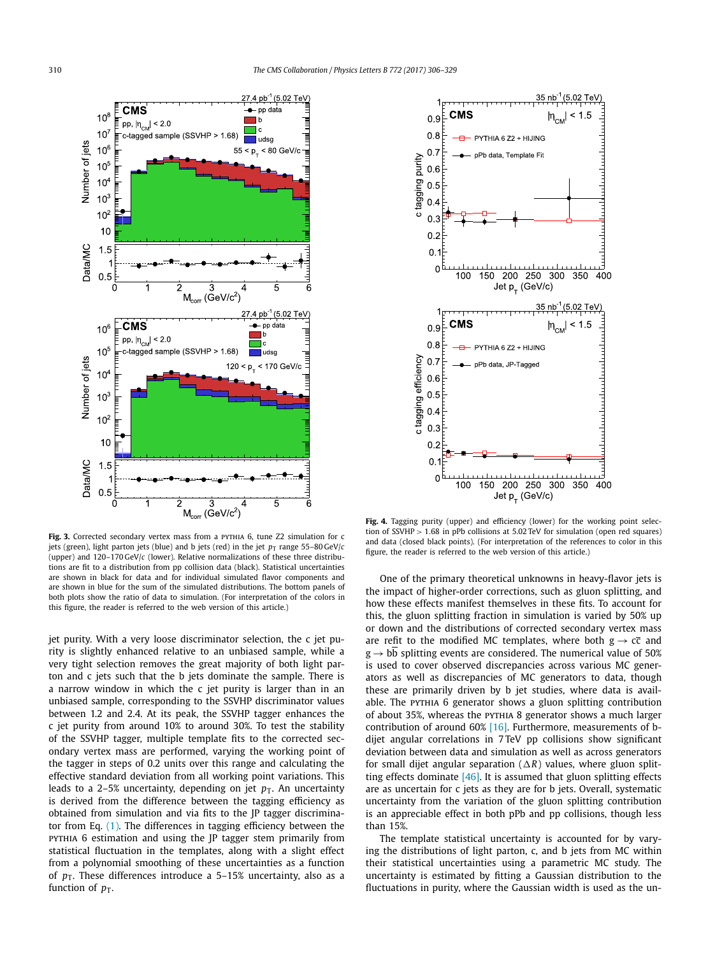<span id="page-4-0"></span>



Fig. 3. Corrected secondary vertex mass from a PYTHIA 6, tune Z2 simulation for c jets (green), light parton jets (blue) and b jets (red) in the jet *p*<sup>T</sup> range 55–80 GeV/*c* (upper) and 120–170 GeV/*c* (lower). Relative normalizations of these three distributions are fit to a distribution from pp collision data (black). Statistical uncertainties are shown in black for data and for individual simulated flavor components and are shown in blue for the sum of the simulated distributions. The bottom panels of both plots show the ratio of data to simulation. (For interpretation of the colors in this figure, the reader is referred to the web version of this article.)

jet purity. With a very loose discriminator selection, the c jet purity is slightly enhanced relative to an unbiased sample, while a very tight selection removes the great majority of both light parton and c jets such that the b jets dominate the sample. There is a narrow window in which the c jet purity is larger than in an unbiased sample, corresponding to the SSVHP discriminator values between 1.2 and 2.4. At its peak, the SSVHP tagger enhances the c jet purity from around 10% to around 30%. To test the stability of the SSVHP tagger, multiple template fits to the corrected secondary vertex mass are performed, varying the working point of the tagger in steps of 0.2 units over this range and calculating the effective standard deviation from all working point variations. This leads to a 2–5% uncertainty, depending on jet  $p<sub>T</sub>$ . An uncertainty is derived from the difference between the tagging efficiency as obtained from simulation and via fits to the JP tagger discriminator from Eq. [\(1\).](#page-2-0) The differences in tagging efficiency between the PYTHIA 6 estimation and using the JP tagger stem primarily from statistical fluctuation in the templates, along with a slight effect from a polynomial smoothing of these uncertainties as a function of  $p_T$ . These differences introduce a 5-15% uncertainty, also as a function of  $p_T$ .

**Fig. 4.** Tagging purity (upper) and efficiency (lower) for the working point selection of SSVHP *>* 1*.*68 in pPb collisions at 5.02 TeV for simulation (open red squares) and data (closed black points). (For interpretation of the references to color in this figure, the reader is referred to the web version of this article.)

One of the primary theoretical unknowns in heavy-flavor jets is the impact of higher-order corrections, such as gluon splitting, and how these effects manifest themselves in these fits. To account for this, the gluon splitting fraction in simulation is varied by 50% up or down and the distributions of corrected secondary vertex mass are refit to the modified MC templates, where both  $g \rightarrow c\overline{c}$  and  $g \rightarrow bb$  splitting events are considered. The numerical value of 50% is used to cover observed discrepancies across various MC generators as well as discrepancies of MC generators to data, though these are primarily driven by b jet studies, where data is available. The pythia 6 generator shows a gluon splitting contribution of about 35%, whereas the pythia 8 generator shows a much larger contribution of around 60% [\[16\].](#page-7-0) Furthermore, measurements of bdijet angular correlations in 7 TeV pp collisions show significant deviation between data and simulation as well as across generators for small dijet angular separation  $(\Delta R)$  values, where gluon splitting effects dominate  $[46]$ . It is assumed that gluon splitting effects are as uncertain for c jets as they are for b jets. Overall, systematic uncertainty from the variation of the gluon splitting contribution is an appreciable effect in both pPb and pp collisions, though less than 15%.

The template statistical uncertainty is accounted for by varying the distributions of light parton, c, and b jets from MC within their statistical uncertainties using a parametric MC study. The uncertainty is estimated by fitting a Gaussian distribution to the fluctuations in purity, where the Gaussian width is used as the un-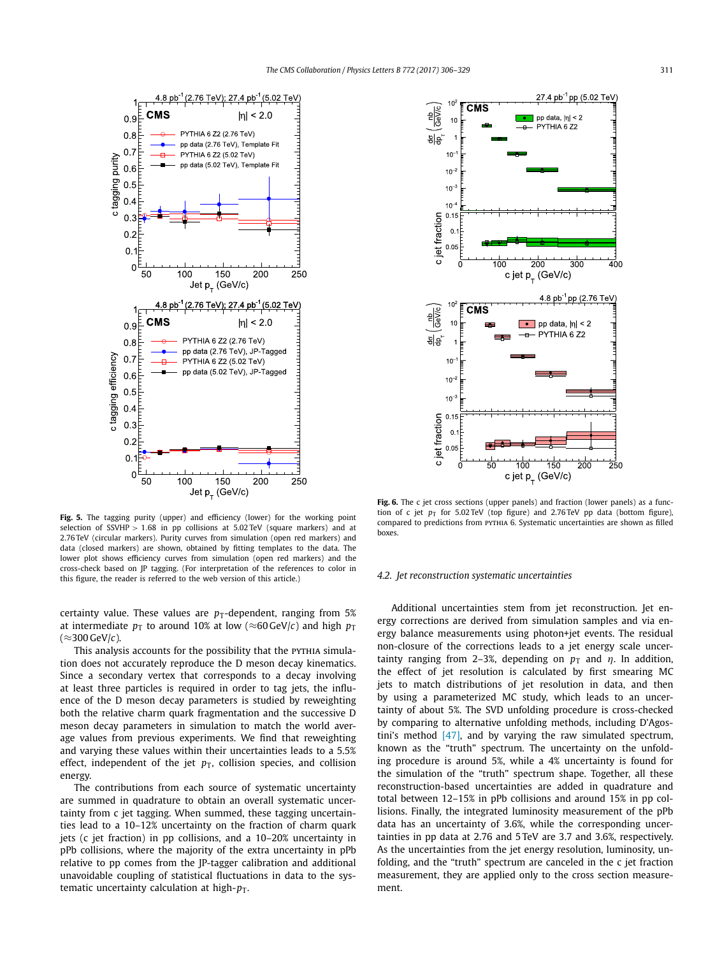<span id="page-5-0"></span>

**Fig. 5.** The tagging purity (upper) and efficiency (lower) for the working point selection of SSVHP *>* 1*.*68 in pp collisions at 5.02 TeV (square markers) and at 2.76 TeV (circular markers). Purity curves from simulation (open red markers) and data (closed markers) are shown, obtained by fitting templates to the data. The lower plot shows efficiency curves from simulation (open red markers) and the cross-check based on JP tagging. (For interpretation of the references to color in this figure, the reader is referred to the web version of this article.)

certainty value. These values are  $p_T$ -dependent, ranging from 5% at intermediate  $p<sub>T</sub>$  to around 10% at low ( $\approx$ 60 GeV/*c*) and high  $p<sub>T</sub>$ (≈300 GeV/*c*).

This analysis accounts for the possibility that the PYTHIA simulation does not accurately reproduce the D meson decay kinematics. Since a secondary vertex that corresponds to a decay involving at least three particles is required in order to tag jets, the influence of the D meson decay parameters is studied by reweighting both the relative charm quark fragmentation and the successive D meson decay parameters in simulation to match the world average values from previous experiments. We find that reweighting and varying these values within their uncertainties leads to a 5.5% effect, independent of the jet  $p<sub>T</sub>$ , collision species, and collision energy.

The contributions from each source of systematic uncertainty are summed in quadrature to obtain an overall systematic uncertainty from c jet tagging. When summed, these tagging uncertainties lead to a 10–12% uncertainty on the fraction of charm quark jets (c jet fraction) in pp collisions, and a 10–20% uncertainty in pPb collisions, where the majority of the extra uncertainty in pPb relative to pp comes from the JP-tagger calibration and additional unavoidable coupling of statistical fluctuations in data to the systematic uncertainty calculation at high- $p_T$ .



Fig. 6. The c jet cross sections (upper panels) and fraction (lower panels) as a function of c jet  $p_T$  for 5.02 TeV (top figure) and 2.76 TeV pp data (bottom figure), compared to predictions from pythia 6. Systematic uncertainties are shown as filled boxes.

#### *4.2. Jet reconstruction systematic uncertainties*

Additional uncertainties stem from jet reconstruction. Jet energy corrections are derived from simulation samples and via energy balance measurements using photon+jet events. The residual non-closure of the corrections leads to a jet energy scale uncertainty ranging from 2–3%, depending on  $p<sub>T</sub>$  and  $\eta$ . In addition, the effect of jet resolution is calculated by first smearing MC jets to match distributions of jet resolution in data, and then by using a parameterized MC study, which leads to an uncertainty of about 5%. The SVD unfolding procedure is cross-checked by comparing to alternative unfolding methods, including D'Agostini's method  $[47]$ , and by varying the raw simulated spectrum, known as the "truth" spectrum. The uncertainty on the unfolding procedure is around 5%, while a 4% uncertainty is found for the simulation of the "truth" spectrum shape. Together, all these reconstruction-based uncertainties are added in quadrature and total between 12–15% in pPb collisions and around 15% in pp collisions. Finally, the integrated luminosity measurement of the pPb data has an uncertainty of 3.6%, while the corresponding uncertainties in pp data at 2.76 and 5 TeV are 3.7 and 3.6%, respectively. As the uncertainties from the jet energy resolution, luminosity, unfolding, and the "truth" spectrum are canceled in the c jet fraction measurement, they are applied only to the cross section measurement.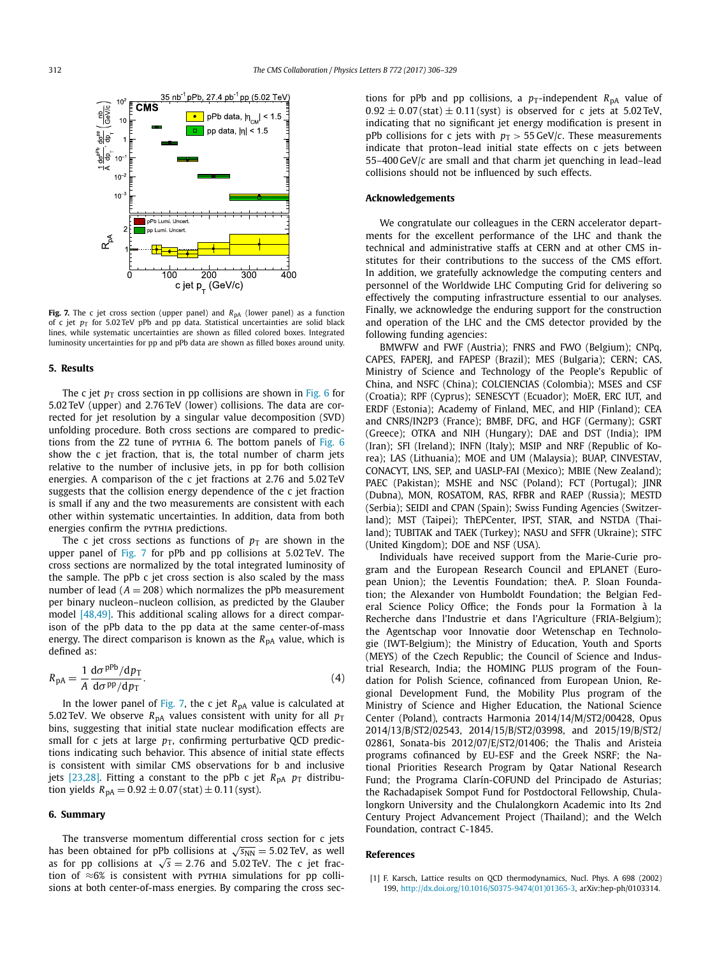<span id="page-6-0"></span>

Fig. 7. The c jet cross section (upper panel) and R<sub>pA</sub> (lower panel) as a function of c jet  $p_T$  for 5.02 TeV pPb and pp data. Statistical uncertainties are solid black lines, while systematic uncertainties are shown as filled colored boxes. Integrated luminosity uncertainties for pp and pPb data are shown as filled boxes around unity.

### **5. Results**

The c jet  $p_T$  cross section in pp collisions are shown in [Fig. 6](#page-5-0) for 5.02 TeV (upper) and 2.76 TeV (lower) collisions. The data are corrected for jet resolution by a singular value decomposition (SVD) unfolding procedure. Both cross sections are compared to predictions from the Z2 tune of PYTHIA 6. The bottom panels of Fig.  $6$ show the c jet fraction, that is, the total number of charm jets relative to the number of inclusive jets, in pp for both collision energies. A comparison of the c jet fractions at 2.76 and 5.02 TeV suggests that the collision energy dependence of the c jet fraction is small if any and the two measurements are consistent with each other within systematic uncertainties. In addition, data from both energies confirm the PYTHIA predictions.

The c jet cross sections as functions of  $p_T$  are shown in the upper panel of Fig. 7 for pPb and pp collisions at 5.02 TeV. The cross sections are normalized by the total integrated luminosity of the sample. The pPb c jet cross section is also scaled by the mass number of lead  $(A = 208)$  which normalizes the pPb measurement per binary nucleon–nucleon collision, as predicted by the Glauber model [\[48,49\].](#page-7-0) This additional scaling allows for a direct comparison of the pPb data to the pp data at the same center-of-mass energy. The direct comparison is known as the  $R_{pA}$  value, which is defined as:

$$
R_{\rm pA} = \frac{1}{A} \frac{\mathrm{d}\sigma^{\rm pPb} / \mathrm{d}p_{\rm T}}{\mathrm{d}\sigma^{\rm p} / \mathrm{d}p_{\rm T}}.
$$
\n<sup>(4)</sup>

In the lower panel of Fig. 7, the c jet  $R_{pA}$  value is calculated at 5.02 TeV. We observe  $R_{\text{pA}}$  values consistent with unity for all  $p_{\text{T}}$ bins, suggesting that initial state nuclear modification effects are small for c jets at large  $p<sub>T</sub>$ , confirming perturbative QCD predictions indicating such behavior. This absence of initial state effects is consistent with similar CMS observations for b and inclusive jets  $[23,28]$ . Fitting a constant to the pPb c jet  $R_{pA}$   $p_T$  distribution yields  $R_{pA} = 0.92 \pm 0.07$  (stat)  $\pm$  0.11 (syst).

### **6. Summary**

The transverse momentum differential cross section for c jets has been obtained for pPb collisions at  $\sqrt{s_{NN}} = 5.02$  TeV, as well as for pp collisions at  $\sqrt{s} = 2.76$  and 5.02 TeV. The c jet fraction of  $\approx 6\%$  is consistent with pythia simulations for pp collisions at both center-of-mass energies. By comparing the cross sections for pPb and pp collisions, a  $p_T$ -independent  $R_{pA}$  value of  $0.92 \pm 0.07$  (stat)  $\pm 0.11$  (syst) is observed for c jets at 5.02 TeV, indicating that no significant jet energy modification is present in pPb collisions for c jets with  $p_T > 55$  GeV/*c*. These measurements indicate that proton–lead initial state effects on c jets between 55–400 GeV/*c* are small and that charm jet quenching in lead–lead collisions should not be influenced by such effects.

#### **Acknowledgements**

We congratulate our colleagues in the CERN accelerator departments for the excellent performance of the LHC and thank the technical and administrative staffs at CERN and at other CMS institutes for their contributions to the success of the CMS effort. In addition, we gratefully acknowledge the computing centers and personnel of the Worldwide LHC Computing Grid for delivering so effectively the computing infrastructure essential to our analyses. Finally, we acknowledge the enduring support for the construction and operation of the LHC and the CMS detector provided by the following funding agencies:

BMWFW and FWF (Austria); FNRS and FWO (Belgium); CNPq, CAPES, FAPERJ, and FAPESP (Brazil); MES (Bulgaria); CERN; CAS, Ministry of Science and Technology of the People's Republic of China, and NSFC (China); COLCIENCIAS (Colombia); MSES and CSF (Croatia); RPF (Cyprus); SENESCYT (Ecuador); MoER, ERC IUT, and ERDF (Estonia); Academy of Finland, MEC, and HIP (Finland); CEA and CNRS/IN2P3 (France); BMBF, DFG, and HGF (Germany); GSRT (Greece); OTKA and NIH (Hungary); DAE and DST (India); IPM (Iran); SFI (Ireland); INFN (Italy); MSIP and NRF (Republic of Korea); LAS (Lithuania); MOE and UM (Malaysia); BUAP, CINVESTAV, CONACYT, LNS, SEP, and UASLP-FAI (Mexico); MBIE (New Zealand); PAEC (Pakistan); MSHE and NSC (Poland); FCT (Portugal); JINR (Dubna), MON, ROSATOM, RAS, RFBR and RAEP (Russia); MESTD (Serbia); SEIDI and CPAN (Spain); Swiss Funding Agencies (Switzerland); MST (Taipei); ThEPCenter, IPST, STAR, and NSTDA (Thailand); TUBITAK and TAEK (Turkey); NASU and SFFR (Ukraine); STFC (United Kingdom); DOE and NSF (USA).

Individuals have received support from the Marie-Curie program and the European Research Council and EPLANET (European Union); the Leventis Foundation; theA. P. Sloan Foundation; the Alexander von Humboldt Foundation; the Belgian Federal Science Policy Office; the Fonds pour la Formation à la Recherche dans l'Industrie et dans l'Agriculture (FRIA-Belgium); the Agentschap voor Innovatie door Wetenschap en Technologie (IWT-Belgium); the Ministry of Education, Youth and Sports (MEYS) of the Czech Republic; the Council of Science and Industrial Research, India; the HOMING PLUS program of the Foundation for Polish Science, cofinanced from European Union, Regional Development Fund, the Mobility Plus program of the Ministry of Science and Higher Education, the National Science Center (Poland), contracts Harmonia 2014/14/M/ST2/00428, Opus 2014/13/B/ST2/02543, 2014/15/B/ST2/03998, and 2015/19/B/ST2/ 02861, Sonata-bis 2012/07/E/ST2/01406; the Thalis and Aristeia programs cofinanced by EU-ESF and the Greek NSRF; the National Priorities Research Program by Qatar National Research Fund; the Programa Clarín-COFUND del Principado de Asturias; the Rachadapisek Sompot Fund for Postdoctoral Fellowship, Chulalongkorn University and the Chulalongkorn Academic into Its 2nd Century Project Advancement Project (Thailand); and the Welch Foundation, contract C-1845.

#### **References**

<sup>[1]</sup> F. Karsch, Lattice results on QCD thermodynamics, Nucl. Phys. A 698 (2002) 199, [http://dx.doi.org/10.1016/S0375-9474\(01\)01365-3](http://dx.doi.org/10.1016/S0375-9474(01)01365-3), arXiv:hep-ph/0103314.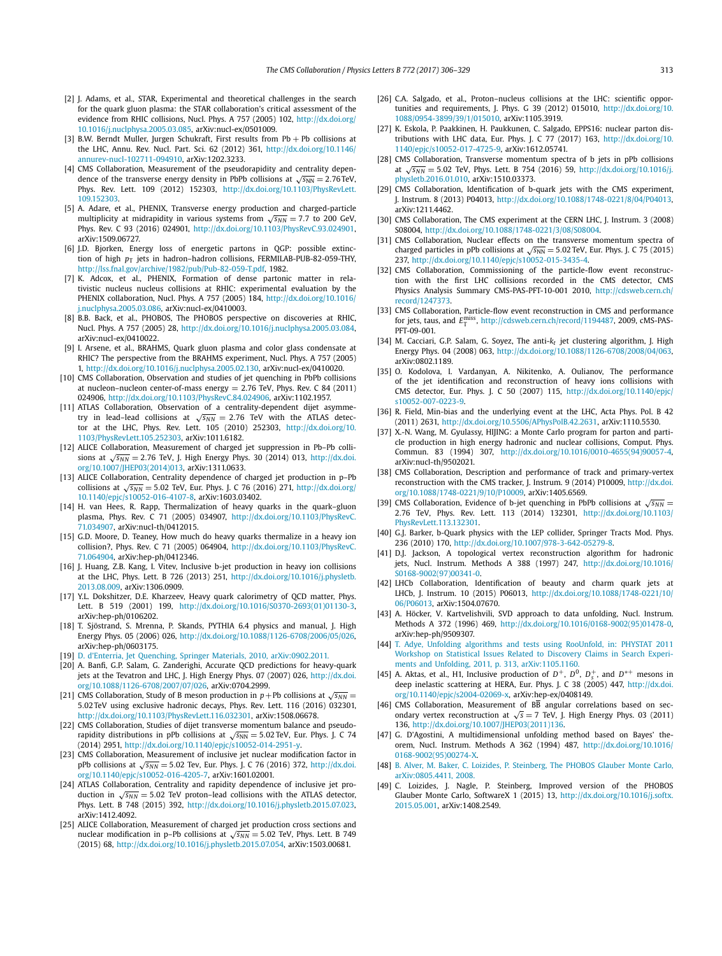- <span id="page-7-0"></span>[2] J. Adams, et al., STAR, Experimental and theoretical challenges in the search for the quark gluon plasma: the STAR collaboration's critical assessment of the evidence from RHIC collisions, Nucl. Phys. A 757 (2005) 102, [http://dx.doi.org/](http://dx.doi.org/10.1016/j.nuclphysa.2005.03.085) [10.1016/j.nuclphysa.2005.03.085,](http://dx.doi.org/10.1016/j.nuclphysa.2005.03.085) arXiv:nucl-ex/0501009.
- [3] B.W. Berndt Muller, Jurgen Schukraft, First results from Pb + Pb collisions at the LHC, Annu. Rev. Nucl. Part. Sci. 62 (2012) 361, [http://dx.doi.org/10.1146/](http://dx.doi.org/10.1146/annurev-nucl-102711-094910) [annurev-nucl-102711-094910,](http://dx.doi.org/10.1146/annurev-nucl-102711-094910) arXiv:1202.3233.
- [4] CMS Collaboration, Measurement of the pseudorapidity and centrality dependence of the transverse energy density in PbPb collisions at  $\sqrt{s_{NN}} = 2.76$  TeV, Phys. Rev. Lett. 109 (2012) 152303, [http://dx.doi.org/10.1103/PhysRevLett.](http://dx.doi.org/10.1103/PhysRevLett.109.152303) [109.152303.](http://dx.doi.org/10.1103/PhysRevLett.109.152303)
- [5] A. Adare, et al., PHENIX, Transverse energy production and charged-particle multiplicity at midrapidity in various systems from  $\sqrt{s_{NN}}$  = 7.7 to 200 GeV, Phys. Rev. C 93 (2016) 024901, <http://dx.doi.org/10.1103/PhysRevC.93.024901>, arXiv:1509.06727.
- [6] J.D. Bjorken, Energy loss of energetic partons in QGP: possible extinction of high  $p_T$  jets in hadron–hadron collisions, FERMILAB-PUB-82-059-THY, [http://lss.fnal.gov/archive/1982/pub/Pub-82-059-T.pdf,](http://lss.fnal.gov/archive/1982/pub/Pub-82-059-T.pdf) 1982.
- [7] K. Adcox, et al., PHENIX, Formation of dense partonic matter in relativistic nucleus nucleus collisions at RHIC: experimental evaluation by the PHENIX collaboration, Nucl. Phys. A 757 (2005) 184, [http://dx.doi.org/10.1016/](http://dx.doi.org/10.1016/j.nuclphysa.2005.03.086) [j.nuclphysa.2005.03.086](http://dx.doi.org/10.1016/j.nuclphysa.2005.03.086), arXiv:nucl-ex/0410003.
- [8] B.B. Back, et al., PHOBOS, The PHOBOS perspective on discoveries at RHIC, Nucl. Phys. A 757 (2005) 28, <http://dx.doi.org/10.1016/j.nuclphysa.2005.03.084>, arXiv:nucl-ex/0410022.
- [9] I. Arsene, et al., BRAHMS, Quark gluon plasma and color glass condensate at RHIC? The perspective from the BRAHMS experiment, Nucl. Phys. A 757 (2005) 1, [http://dx.doi.org/10.1016/j.nuclphysa.2005.02.130,](http://dx.doi.org/10.1016/j.nuclphysa.2005.02.130) arXiv:nucl-ex/0410020.
- [10] CMS Collaboration, Observation and studies of jet quenching in PbPb collisions at nucleon–nucleon center-of-mass energy  $= 2.76$  TeV, Phys. Rev. C 84 (2011) 024906, [http://dx.doi.org/10.1103/PhysRevC.84.024906,](http://dx.doi.org/10.1103/PhysRevC.84.024906) arXiv:1102.1957.
- [11] ATLAS Collaboration, Observation of a centrality-dependent dijet asymmetry in lead-lead collisions at  $\sqrt{s_{NN}} = 2.76$  TeV with the ATLAS detector at the LHC, Phys. Rev. Lett. 105 (2010) 252303, [http://dx.doi.org/10.](http://dx.doi.org/10.1103/PhysRevLett.105.252303) [1103/PhysRevLett.105.252303](http://dx.doi.org/10.1103/PhysRevLett.105.252303), arXiv:1011.6182.
- [12] ALICE Collaboration, Measurement of charged jet suppression in Pb–Pb collisions at  $\sqrt{s_{NN}}$  = 2.76 TeV, J. High Energy Phys. 30 (2014) 013, [http://dx.doi.](http://dx.doi.org/10.1007/JHEP03(2014)013) [org/10.1007/JHEP03\(2014\)013,](http://dx.doi.org/10.1007/JHEP03(2014)013) arXiv:1311.0633.
- [13] ALICE Collaboration, Centrality dependence of charged jet production in p–Pb collisions at  $\sqrt{s_{NN}}$  = 5.02 TeV, Eur. Phys. J. C 76 (2016) 271, [http://dx.doi.org/](http://dx.doi.org/10.1140/epjc/s10052-016-4107-8) [10.1140/epjc/s10052-016-4107-8,](http://dx.doi.org/10.1140/epjc/s10052-016-4107-8) arXiv:1603.03402.
- [14] H. van Hees, R. Rapp, Thermalization of heavy quarks in the quark–gluon plasma, Phys. Rev. C 71 (2005) 034907, [http://dx.doi.org/10.1103/PhysRevC.](http://dx.doi.org/10.1103/PhysRevC.71.034907) [71.034907,](http://dx.doi.org/10.1103/PhysRevC.71.034907) arXiv:nucl-th/0412015.
- [15] G.D. Moore, D. Teaney, How much do heavy quarks thermalize in a heavy ion collision?, Phys. Rev. C 71 (2005) 064904, [http://dx.doi.org/10.1103/PhysRevC.](http://dx.doi.org/10.1103/PhysRevC.71.064904) [71.064904,](http://dx.doi.org/10.1103/PhysRevC.71.064904) arXiv:hep-ph/0412346.
- [16] J. Huang, Z.B. Kang, I. Vitev, Inclusive b-jet production in heavy ion collisions at the LHC, Phys. Lett. B 726 (2013) 251, [http://dx.doi.org/10.1016/j.physletb.](http://dx.doi.org/10.1016/j.physletb.2013.08.009) [2013.08.009,](http://dx.doi.org/10.1016/j.physletb.2013.08.009) arXiv:1306.0909.
- [17] Y.L. Dokshitzer, D.E. Kharzeev, Heavy quark calorimetry of QCD matter, Phys. Lett. B 519 (2001) 199, [http://dx.doi.org/10.1016/S0370-2693\(01\)01130-3](http://dx.doi.org/10.1016/S0370-2693(01)01130-3), arXiv:hep-ph/0106202.
- [18] T. Sjöstrand, S. Mrenna, P. Skands, PYTHIA 6.4 physics and manual, J. High Energy Phys. 05 (2006) 026, [http://dx.doi.org/10.1088/1126-6708/2006/05/026,](http://dx.doi.org/10.1088/1126-6708/2006/05/026) arXiv:hep-ph/0603175.
- [19] D. d'Enterria, Jet Quenching, Springer Materials, 2010, [arXiv:0902.2011.](http://refhub.elsevier.com/S0370-2693(17)30529-4/bib64656E7465727269613A32303133s1)
- [20] A. Banfi, G.P. Salam, G. Zanderighi, Accurate QCD predictions for heavy-quark jets at the Tevatron and LHC, J. High Energy Phys. 07 (2007) 026, [http://dx.doi.](http://dx.doi.org/10.1088/1126-6708/2007/07/026) [org/10.1088/1126-6708/2007/07/026,](http://dx.doi.org/10.1088/1126-6708/2007/07/026) arXiv:0704.2999.
- [21] CMS Collaboration, Study of B meson production in  $p$ +Pb collisions at  $\sqrt{s_{NN}}$  = 5*.*02 TeV using exclusive hadronic decays, Phys. Rev. Lett. 116 (2016) 032301, [http://dx.doi.org/10.1103/PhysRevLett.116.032301,](http://dx.doi.org/10.1103/PhysRevLett.116.032301) arXiv:1508.06678.
- [22] CMS Collaboration, Studies of dijet transverse momentum balance and pseudorapidity distributions in pPb collisions at  $\sqrt{s_{NN}}$  = 5.02 TeV, Eur. Phys. J. C 74 (2014) 2951, <http://dx.doi.org/10.1140/epjc/s10052-014-2951-y>.
- [23] CMS Collaboration, Measurement of inclusive jet nuclear modification factor in pPb collisions at  $\sqrt{s_{NN}}$  = 5.02 Tev, Eur. Phys. J. C 76 (2016) 372, [http://dx.doi.](http://dx.doi.org/10.1140/epjc/s10052-016-4205-7) [org/10.1140/epjc/s10052-016-4205-7,](http://dx.doi.org/10.1140/epjc/s10052-016-4205-7) arXiv:1601.02001.
- [24] ATLAS Collaboration, Centrality and rapidity dependence of inclusive jet production in  $\sqrt{s_{NN}}$  = 5.02 TeV proton–lead collisions with the ATLAS detector, Phys. Lett. B 748 (2015) 392, [http://dx.doi.org/10.1016/j.physletb.2015.07.023,](http://dx.doi.org/10.1016/j.physletb.2015.07.023) arXiv:1412.4092.
- [25] ALICE Collaboration, Measurement of charged jet production cross sections and nuclear modification in p–Pb collisions at  $\sqrt{s_{NN}}$  = 5.02 TeV, Phys. Lett. B 749 (2015) 68, <http://dx.doi.org/10.1016/j.physletb.2015.07.054>, arXiv:1503.00681.
- [26] C.A. Salgado, et al., Proton-nucleus collisions at the LHC: scientific opportunities and requirements, J. Phys. G 39 (2012) 015010, [http://dx.doi.org/10.](http://dx.doi.org/10.1088/0954-3899/39/1/015010) [1088/0954-3899/39/1/015010](http://dx.doi.org/10.1088/0954-3899/39/1/015010), arXiv:1105.3919.
- [27] K. Eskola, P. Paakkinen, H. Paukkunen, C. Salgado, EPPS16: nuclear parton distributions with LHC data, Eur. Phys. J. C 77 (2017) 163, [http://dx.doi.org/10.](http://dx.doi.org/10.1140/epjc/s10052-017-4725-9) [1140/epjc/s10052-017-4725-9](http://dx.doi.org/10.1140/epjc/s10052-017-4725-9), arXiv:1612.05741.
- [28] CMS Collaboration, Transverse momentum spectra of b jets in pPb collisions at  $\sqrt{s_{NN}}$  = 5.02 TeV, Phys. Lett. B 754 (2016) 59, [http://dx.doi.org/10.1016/j.](http://dx.doi.org/10.1016/j.physletb.2016.01.010) [physletb.2016.01.010](http://dx.doi.org/10.1016/j.physletb.2016.01.010), arXiv:1510.03373.
- [29] CMS Collaboration, Identification of b-quark jets with the CMS experiment, J. Instrum. 8 (2013) P04013, [http://dx.doi.org/10.1088/1748-0221/8/04/P04013,](http://dx.doi.org/10.1088/1748-0221/8/04/P04013) arXiv:1211.4462.
- [30] CMS Collaboration, The CMS experiment at the CERN LHC, J. Instrum. 3 (2008) S08004, [http://dx.doi.org/10.1088/1748-0221/3/08/S08004.](http://dx.doi.org/10.1088/1748-0221/3/08/S08004)
- [31] CMS Collaboration, Nuclear effects on the transverse momentum spectra of charged particles in pPb collisions at  $\sqrt{s_{NN}}$  = 5.02 TeV, Eur. Phys. J. C 75 (2015) 237, [http://dx.doi.org/10.1140/epjc/s10052-015-3435-4.](http://dx.doi.org/10.1140/epjc/s10052-015-3435-4)
- [32] CMS Collaboration, Commissioning of the particle-flow event reconstruction with the first LHC collisions recorded in the CMS detector, CMS Physics Analysis Summary CMS-PAS-PFT-10-001 2010, [http://cdsweb.cern.ch/](http://cdsweb.cern.ch/record/1247373) [record/1247373](http://cdsweb.cern.ch/record/1247373).
- [33] CMS Collaboration, Particle-flow event reconstruction in CMS and performance for jets, taus, and  $E_T^{\text{miss}}$ , <http://cdsweb.cern.ch/record/1194487>, 2009, cMS-PAS-PFT-09-001.
- [34] M. Cacciari, G.P. Salam, G. Soyez, The anti- $k_t$  jet clustering algorithm, J. High Energy Phys. 04 (2008) 063, [http://dx.doi.org/10.1088/1126-6708/2008/04/063,](http://dx.doi.org/10.1088/1126-6708/2008/04/063) arXiv:0802.1189.
- [35] O. Kodolova, I. Vardanyan, A. Nikitenko, A. Oulianov, The performance of the jet identification and reconstruction of heavy ions collisions with CMS detector, Eur. Phys. J. C 50 (2007) 115, [http://dx.doi.org/10.1140/epjc/](http://dx.doi.org/10.1140/epjc/s10052-007-0223-9) [s10052-007-0223-9.](http://dx.doi.org/10.1140/epjc/s10052-007-0223-9)
- [36] R. Field, Min-bias and the underlying event at the LHC, Acta Phys. Pol. B 42 (2011) 2631, <http://dx.doi.org/10.5506/APhysPolB.42.2631>, arXiv:1110.5530.
- [37] X.-N. Wang, M. Gyulassy, HIJING: a Monte Carlo program for parton and particle production in high energy hadronic and nuclear collisions, Comput. Phys. Commun. 83 (1994) 307, [http://dx.doi.org/10.1016/0010-4655\(94\)90057-4](http://dx.doi.org/10.1016/0010-4655(94)90057-4), arXiv:nucl-th/9502021.
- [38] CMS Collaboration, Description and performance of track and primary-vertex reconstruction with the CMS tracker, J. Instrum. 9 (2014) P10009, [http://dx.doi.](http://dx.doi.org/10.1088/1748-0221/9/10/P10009) [org/10.1088/1748-0221/9/10/P10009,](http://dx.doi.org/10.1088/1748-0221/9/10/P10009) arXiv:1405.6569.
- [39] CMS Collaboration, Evidence of b-jet quenching in PbPb collisions at  $\sqrt{s_{NN}}$  = 2*.*76 TeV, Phys. Rev. Lett. 113 (2014) 132301, [http://dx.doi.org/10.1103/](http://dx.doi.org/10.1103/PhysRevLett.113.132301) [PhysRevLett.113.132301](http://dx.doi.org/10.1103/PhysRevLett.113.132301).
- [40] G.J. Barker, b-Quark physics with the LEP collider, Springer Tracts Mod. Phys. 236 (2010) 170, <http://dx.doi.org/10.1007/978-3-642-05279-8>.
- [41] D.J. Jackson, A topological vertex reconstruction algorithm for hadronic jets, Nucl. Instrum. Methods A 388 (1997) 247, [http://dx.doi.org/10.1016/](http://dx.doi.org/10.1016/S0168-9002(97)00341-0) [S0168-9002\(97\)00341-0](http://dx.doi.org/10.1016/S0168-9002(97)00341-0).
- [42] LHCb Collaboration, Identification of beauty and charm quark jets at LHCb, J. Instrum. 10 (2015) P06013, [http://dx.doi.org/10.1088/1748-0221/10/](http://dx.doi.org/10.1088/1748-0221/10/06/P06013) [06/P06013,](http://dx.doi.org/10.1088/1748-0221/10/06/P06013) arXiv:1504.07670.
- [43] A. Höcker, V. Kartvelishvili, SVD approach to data unfolding, Nucl. Instrum. Methods A 372 (1996) 469, [http://dx.doi.org/10.1016/0168-9002\(95\)01478-0,](http://dx.doi.org/10.1016/0168-9002(95)01478-0) arXiv:hep-ph/9509307.
- [44] T. Adye, Unfolding algorithms and tests using [RooUnfold,](http://refhub.elsevier.com/S0370-2693(17)30529-4/bib526F6F556E666F6C64s1) in: PHYSTAT 2011 [Workshop](http://refhub.elsevier.com/S0370-2693(17)30529-4/bib526F6F556E666F6C64s1) on Statistical Issues Related to Discovery Claims in Search Experiments and Unfolding, 2011, p. 313, [arXiv:1105.1160.](http://refhub.elsevier.com/S0370-2693(17)30529-4/bib526F6F556E666F6C64s1)
- [45] A. Aktas, et al., H1, Inclusive production of  $D^+$ ,  $D^0$ ,  $D_s^+$ , and  $D^{*+}$  mesons in deep inelastic scattering at HERA, Eur. Phys. J. C 38 (2005) 447, [http://dx.doi.](http://dx.doi.org/10.1140/epjc/s2004-02069-x) [org/10.1140/epjc/s2004-02069-x](http://dx.doi.org/10.1140/epjc/s2004-02069-x), arXiv:hep-ex/0408149.
- [46] CMS Collaboration, Measurement of BB angular correlations based on secondary vertex reconstruction at  $\sqrt{s} = 7$  TeV, J. High Energy Phys. 03 (2011) 136, [http://dx.doi.org/10.1007/JHEP03\(2011\)136](http://dx.doi.org/10.1007/JHEP03(2011)136).
- [47] G. D'Agostini, A multidimensional unfolding method based on Bayes' theorem, Nucl. Instrum. Methods A 362 (1994) 487, [http://dx.doi.org/10.1016/](http://dx.doi.org/10.1016/0168-9002(95)00274-X) [0168-9002\(95\)00274-X.](http://dx.doi.org/10.1016/0168-9002(95)00274-X)
- [48] B. Alver, M. Baker, C. Loizides, P. [Steinberg,](http://refhub.elsevier.com/S0370-2693(17)30529-4/bib476C6175626572s1) The PHOBOS Glauber Monte Carlo, [arXiv:0805.4411,](http://refhub.elsevier.com/S0370-2693(17)30529-4/bib476C6175626572s1) 2008.
- [49] C. Loizides, J. Nagle, P. Steinberg, Improved version of the PHOBOS Glauber Monte Carlo, SoftwareX 1 (2015) 13, [http://dx.doi.org/10.1016/j.softx.](http://dx.doi.org/10.1016/j.softx.2015.05.001) [2015.05.001,](http://dx.doi.org/10.1016/j.softx.2015.05.001) arXiv:1408.2549.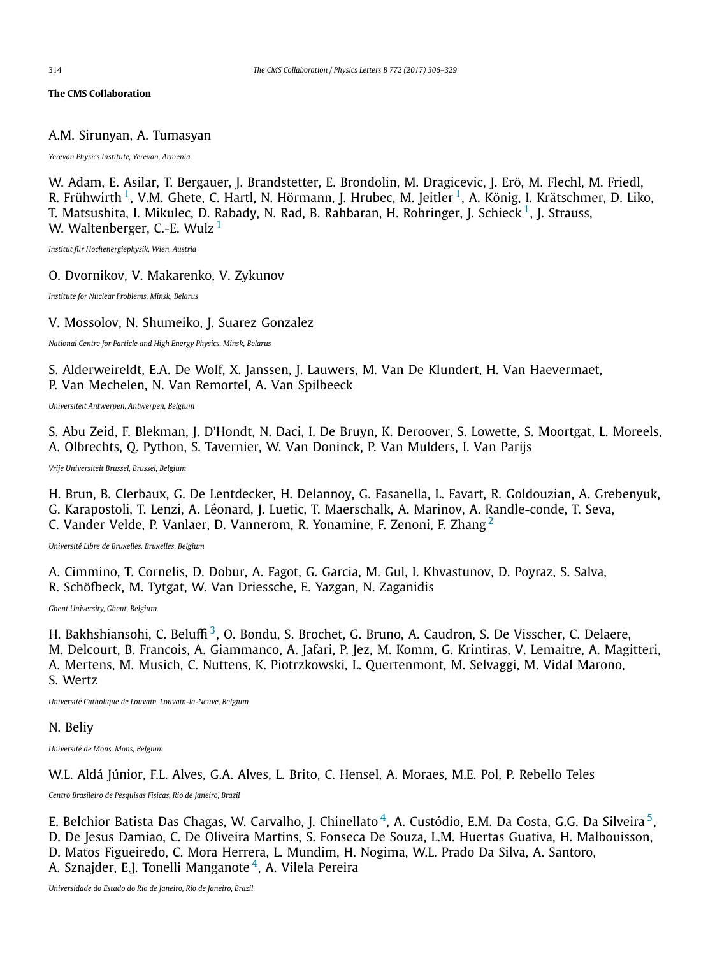### <span id="page-8-0"></span>**The CMS Collaboration**

# A.M. Sirunyan, A. Tumasyan

*Yerevan Physics Institute, Yerevan, Armenia*

W. Adam, E. Asilar, T. Bergauer, J. Brandstetter, E. Brondolin, M. Dragicevic, J. Erö, M. Flechl, M. Friedl, R. Frühwirth<sup>1</sup>, V.M. Ghete, C. Hartl, N. Hörmann, J. Hrubec, M. Jeitler<sup>1</sup>, A. König, I. Krätschmer, D. Liko, T. Matsushita, I. Mikulec, D. Rabady, N. Rad, B. Rahbaran, H. Rohringer, J. Schieck<sup>1</sup>, J. Strauss, W. Waltenberger, C.-E. Wulz  $<sup>1</sup>$  $<sup>1</sup>$  $<sup>1</sup>$ </sup>

*Institut für Hochenergiephysik, Wien, Austria*

### O. Dvornikov, V. Makarenko, V. Zykunov

*Institute for Nuclear Problems, Minsk, Belarus*

### V. Mossolov, N. Shumeiko, J. Suarez Gonzalez

*National Centre for Particle and High Energy Physics, Minsk, Belarus*

S. Alderweireldt, E.A. De Wolf, X. Janssen, J. Lauwers, M. Van De Klundert, H. Van Haevermaet, P. Van Mechelen, N. Van Remortel, A. Van Spilbeeck

*Universiteit Antwerpen, Antwerpen, Belgium*

S. Abu Zeid, F. Blekman, J. D'Hondt, N. Daci, I. De Bruyn, K. Deroover, S. Lowette, S. Moortgat, L. Moreels, A. Olbrechts, Q. Python, S. Tavernier, W. Van Doninck, P. Van Mulders, I. Van Parijs

*Vrije Universiteit Brussel, Brussel, Belgium*

H. Brun, B. Clerbaux, G. De Lentdecker, H. Delannoy, G. Fasanella, L. Favart, R. Goldouzian, A. Grebenyuk, G. Karapostoli, T. Lenzi, A. Léonard, J. Luetic, T. Maerschalk, A. Marinov, A. Randle-conde, T. Seva, C. Vander Velde, P. Vanlaer, D. Vannerom, R. Yonamine, F. Zenoni, F. Zhang [2](#page-22-0)

*Université Libre de Bruxelles, Bruxelles, Belgium*

A. Cimmino, T. Cornelis, D. Dobur, A. Fagot, G. Garcia, M. Gul, I. Khvastunov, D. Poyraz, S. Salva, R. Schöfbeck, M. Tytgat, W. Van Driessche, E. Yazgan, N. Zaganidis

*Ghent University, Ghent, Belgium*

H. Bakhshiansohi, C. Beluffi<sup>3</sup>, O. Bondu, S. Brochet, G. Bruno, A. Caudron, S. De Visscher, C. Delaere, M. Delcourt, B. Francois, A. Giammanco, A. Jafari, P. Jez, M. Komm, G. Krintiras, V. Lemaitre, A. Magitteri, A. Mertens, M. Musich, C. Nuttens, K. Piotrzkowski, L. Quertenmont, M. Selvaggi, M. Vidal Marono, S. Wertz

*Université Catholique de Louvain, Louvain-la-Neuve, Belgium*

### N. Beliy

*Université de Mons, Mons, Belgium*

W.L. Aldá Júnior, F.L. Alves, G.A. Alves, L. Brito, C. Hensel, A. Moraes, M.E. Pol, P. Rebello Teles

*Centro Brasileiro de Pesquisas Fisicas, Rio de Janeiro, Brazil*

E. Belchior Batista Das Chagas, W. Carvalho, J. Chinellato<sup>4</sup>, A. Custódio, E.M. Da Costa, G.G. Da Silveira<sup>5</sup>, D. De Jesus Damiao, C. De Oliveira Martins, S. Fonseca De Souza, L.M. Huertas Guativa, H. Malbouisson, D. Matos Figueiredo, C. Mora Herrera, L. Mundim, H. Nogima, W.L. Prado Da Silva, A. Santoro, A. Sznajder, E.J. Tonelli Manganote<sup>4</sup>, A. Vilela Pereira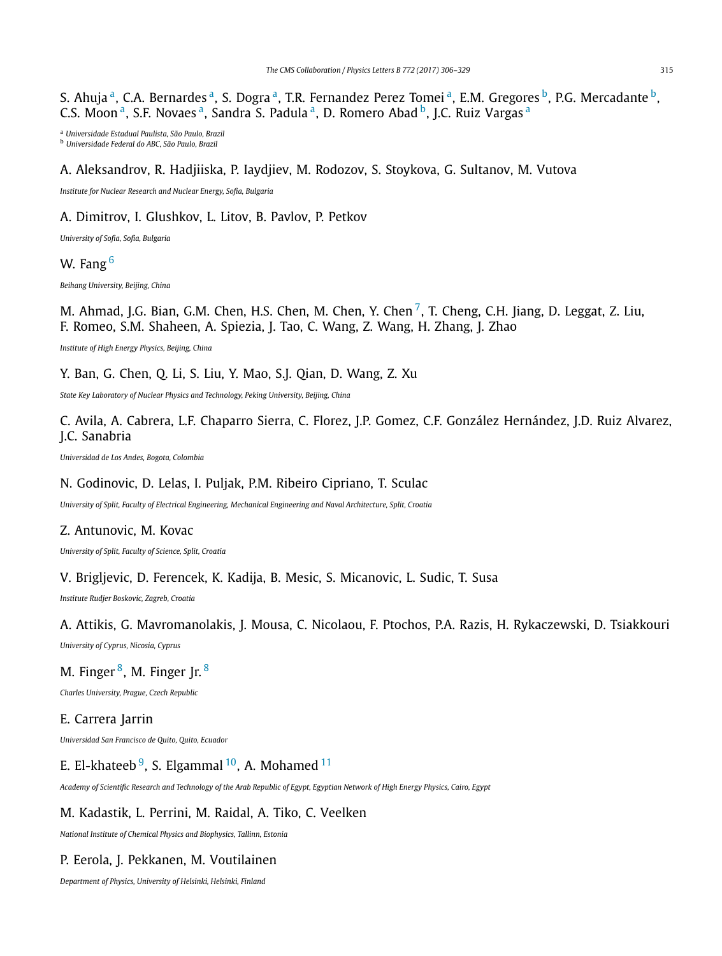S. Ahuja<sup>a</sup>, C.A. Bernardes<sup>a</sup>, S. Dogra<sup>a</sup>, T.R. Fernandez Perez Tomei<sup>a</sup>, E.M. Gregores <sup>b</sup>, P.G. Mercadante <sup>b</sup>, C.S. Moon<sup>a</sup>, S.F. Novaes<sup>a</sup>, Sandra S. Padula<sup>a</sup>, D. Romero Abad <sup>b</sup>. J.C. Ruiz Vargas<sup>a</sup>

<sup>a</sup> *Universidade Estadual Paulista, São Paulo, Brazil* <sup>b</sup> *Universidade Federal do ABC, São Paulo, Brazil*

# A. Aleksandrov, R. Hadjiiska, P. Iaydjiev, M. Rodozov, S. Stoykova, G. Sultanov, M. Vutova

*Institute for Nuclear Research and Nuclear Energy, Sofia, Bulgaria*

A. Dimitrov, I. Glushkov, L. Litov, B. Pavlov, P. Petkov

*University of Sofia, Sofia, Bulgaria*

W. Fang<sup>[6](#page-22-0)</sup>

*Beihang University, Beijing, China*

M. Ahmad, J.G. Bian, G.M. Chen, H.S. Chen, M. Chen, Y. Chen<sup>7</sup>, T. Cheng, C.H. Jiang, D. Leggat, Z. Liu, F. Romeo, S.M. Shaheen, A. Spiezia, J. Tao, C. Wang, Z. Wang, H. Zhang, J. Zhao

*Institute of High Energy Physics, Beijing, China*

Y. Ban, G. Chen, Q. Li, S. Liu, Y. Mao, S.J. Qian, D. Wang, Z. Xu

*State Key Laboratory of Nuclear Physics and Technology, Peking University, Beijing, China*

# C. Avila, A. Cabrera, L.F. Chaparro Sierra, C. Florez, J.P. Gomez, C.F. González Hernández, J.D. Ruiz Alvarez, J.C. Sanabria

*Universidad de Los Andes, Bogota, Colombia*

# N. Godinovic, D. Lelas, I. Puljak, P.M. Ribeiro Cipriano, T. Sculac

*University of Split, Faculty of Electrical Engineering, Mechanical Engineering and Naval Architecture, Split, Croatia*

# Z. Antunovic, M. Kovac

*University of Split, Faculty of Science, Split, Croatia*

### V. Brigljevic, D. Ferencek, K. Kadija, B. Mesic, S. Micanovic, L. Sudic, T. Susa

*Institute Rudjer Boskovic, Zagreb, Croatia*

# A. Attikis, G. Mavromanolakis, J. Mousa, C. Nicolaou, F. Ptochos, P.A. Razis, H. Rykaczewski, D. Tsiakkouri

*University of Cyprus, Nicosia, Cyprus*

# M. Finger  $\frac{8}{3}$  $\frac{8}{3}$  $\frac{8}{3}$ , M. Finger Jr.  $\frac{8}{3}$

*Charles University, Prague, Czech Republic*

# E. Carrera Jarrin

*Universidad San Francisco de Quito, Quito, Ecuador*

# E. El-khateeb<sup>9</sup>, S. Elgammal<sup>10</sup>, A. Mohamed<sup>[11](#page-22-0)</sup>

Academy of Scientific Research and Technology of the Arab Republic of Egypt, Egyptian Network of High Energy Physics, Cairo, Egypt

# M. Kadastik, L. Perrini, M. Raidal, A. Tiko, C. Veelken

*National Institute of Chemical Physics and Biophysics, Tallinn, Estonia*

# P. Eerola, J. Pekkanen, M. Voutilainen

*Department of Physics, University of Helsinki, Helsinki, Finland*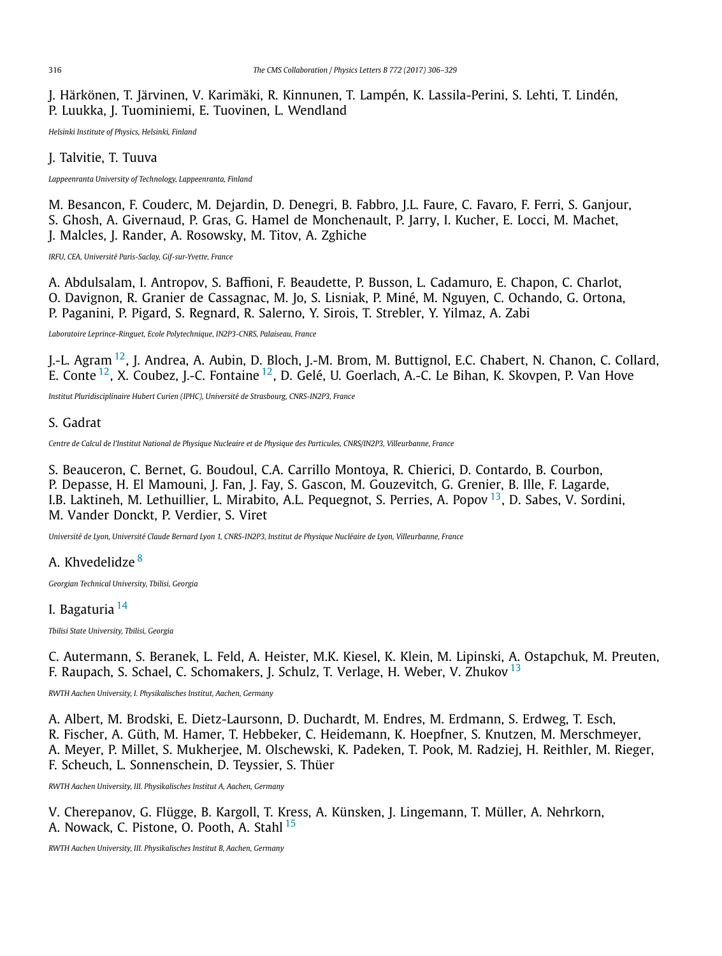J. Härkönen, T. Järvinen, V. Karimäki, R. Kinnunen, T. Lampén, K. Lassila-Perini, S. Lehti, T. Lindén, P. Luukka, J. Tuominiemi, E. Tuovinen, L. Wendland

*Helsinki Institute of Physics, Helsinki, Finland*

# J. Talvitie, T. Tuuva

*Lappeenranta University of Technology, Lappeenranta, Finland*

M. Besancon, F. Couderc, M. Dejardin, D. Denegri, B. Fabbro, J.L. Faure, C. Favaro, F. Ferri, S. Ganjour, S. Ghosh, A. Givernaud, P. Gras, G. Hamel de Monchenault, P. Jarry, I. Kucher, E. Locci, M. Machet, J. Malcles, J. Rander, A. Rosowsky, M. Titov, A. Zghiche

*IRFU, CEA, Université Paris-Saclay, Gif-sur-Yvette, France*

A. Abdulsalam, I. Antropov, S. Baffioni, F. Beaudette, P. Busson, L. Cadamuro, E. Chapon, C. Charlot, O. Davignon, R. Granier de Cassagnac, M. Jo, S. Lisniak, P. Miné, M. Nguyen, C. Ochando, G. Ortona, P. Paganini, P. Pigard, S. Regnard, R. Salerno, Y. Sirois, T. Strebler, Y. Yilmaz, A. Zabi

*Laboratoire Leprince-Ringuet, Ecole Polytechnique, IN2P3-CNRS, Palaiseau, France*

J.-L. Agram [12,](#page-22-0) J. Andrea, A. Aubin, D. Bloch, J.-M. Brom, M. Buttignol, E.C. Chabert, N. Chanon, C. Collard, E. Conte [12,](#page-22-0) X. Coubez, J.-C. Fontaine [12,](#page-22-0) D. Gelé, U. Goerlach, A.-C. Le Bihan, K. Skovpen, P. Van Hove

*Institut Pluridisciplinaire Hubert Curien (IPHC), Université de Strasbourg, CNRS-IN2P3, France*

# S. Gadrat

Centre de Calcul de l'Institut National de Physique Nucleaire et de Physique des Particules, CNRS/IN2P3, Villeurbanne, France

S. Beauceron, C. Bernet, G. Boudoul, C.A. Carrillo Montoya, R. Chierici, D. Contardo, B. Courbon, P. Depasse, H. El Mamouni, J. Fan, J. Fay, S. Gascon, M. Gouzevitch, G. Grenier, B. Ille, F. Lagarde, I.B. Laktineh, M. Lethuillier, L. Mirabito, A.L. Pequegnot, S. Perries, A. Popov [13](#page-22-0), D. Sabes, V. Sordini, M. Vander Donckt, P. Verdier, S. Viret

Université de Lyon, Université Claude Bernard Lyon 1, CNRS-IN2P3, Institut de Physique Nucléaire de Lyon, Villeurbanne, France

# A. Khvedelidze<sup>[8](#page-22-0)</sup>

*Georgian Technical University, Tbilisi, Georgia*

# I. Bagaturia [14](#page-22-0)

*Tbilisi State University, Tbilisi, Georgia*

C. Autermann, S. Beranek, L. Feld, A. Heister, M.K. Kiesel, K. Klein, M. Lipinski, A. Ostapchuk, M. Preuten, F. Raupach, S. Schael, C. Schomakers, J. Schulz, T. Verlage, H. Weber, V. Zhukov <sup>[13](#page-22-0)</sup>

*RWTH Aachen University, I. Physikalisches Institut, Aachen, Germany*

A. Albert, M. Brodski, E. Dietz-Laursonn, D. Duchardt, M. Endres, M. Erdmann, S. Erdweg, T. Esch, R. Fischer, A. Güth, M. Hamer, T. Hebbeker, C. Heidemann, K. Hoepfner, S. Knutzen, M. Merschmeyer, A. Meyer, P. Millet, S. Mukherjee, M. Olschewski, K. Padeken, T. Pook, M. Radziej, H. Reithler, M. Rieger, F. Scheuch, L. Sonnenschein, D. Teyssier, S. Thüer

*RWTH Aachen University, III. Physikalisches Institut A, Aachen, Germany*

V. Cherepanov, G. Flügge, B. Kargoll, T. Kress, A. Künsken, J. Lingemann, T. Müller, A. Nehrkorn, A. Nowack, C. Pistone, O. Pooth, A. Stahl<sup>[15](#page-22-0)</sup>

*RWTH Aachen University, III. Physikalisches Institut B, Aachen, Germany*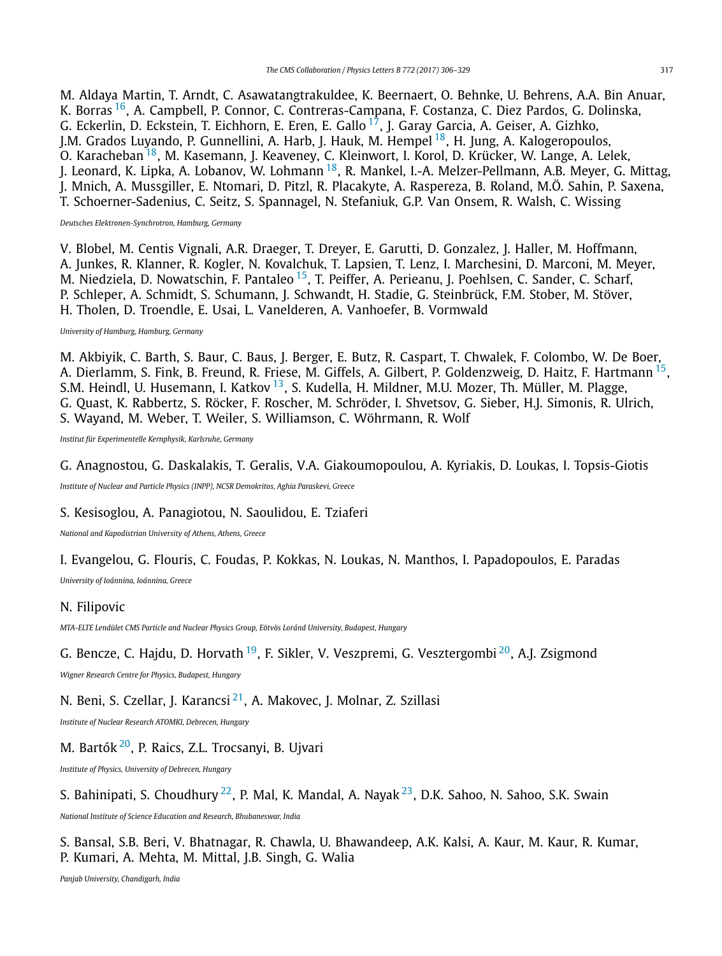M. Aldaya Martin, T. Arndt, C. Asawatangtrakuldee, K. Beernaert, O. Behnke, U. Behrens, A.A. Bin Anuar, K. Borras [16,](#page-22-0) A. Campbell, P. Connor, C. Contreras-Campana, F. Costanza, C. Diez Pardos, G. Dolinska, G. Eckerlin, D. Eckstein, T. Eichhorn, E. Eren, E. Gallo <sup>17</sup>, J. Garay Garcia, A. Geiser, A. Gizhko, J.M. Grados Luyando, P. Gunnellini, A. Harb, J. Hauk, M. Hempel <sup>18</sup>, H. Jung, A. Kalogeropoulos, O. Karacheban [18](#page-22-0), M. Kasemann, J. Keaveney, C. Kleinwort, I. Korol, D. Krücker, W. Lange, A. Lelek, J. Leonard, K. Lipka, A. Lobanov, W. Lohmann [18,](#page-22-0) R. Mankel, I.-A. Melzer-Pellmann, A.B. Meyer, G. Mittag, J. Mnich, A. Mussgiller, E. Ntomari, D. Pitzl, R. Placakyte, A. Raspereza, B. Roland, M.Ö. Sahin, P. Saxena, T. Schoerner-Sadenius, C. Seitz, S. Spannagel, N. Stefaniuk, G.P. Van Onsem, R. Walsh, C. Wissing

*Deutsches Elektronen-Synchrotron, Hamburg, Germany*

V. Blobel, M. Centis Vignali, A.R. Draeger, T. Dreyer, E. Garutti, D. Gonzalez, J. Haller, M. Hoffmann, A. Junkes, R. Klanner, R. Kogler, N. Kovalchuk, T. Lapsien, T. Lenz, I. Marchesini, D. Marconi, M. Meyer, M. Niedziela, D. Nowatschin, F. Pantaleo [15,](#page-22-0) T. Peiffer, A. Perieanu, J. Poehlsen, C. Sander, C. Scharf, P. Schleper, A. Schmidt, S. Schumann, J. Schwandt, H. Stadie, G. Steinbrück, F.M. Stober, M. Stöver, H. Tholen, D. Troendle, E. Usai, L. Vanelderen, A. Vanhoefer, B. Vormwald

*University of Hamburg, Hamburg, Germany*

M. Akbiyik, C. Barth, S. Baur, C. Baus, J. Berger, E. Butz, R. Caspart, T. Chwalek, F. Colombo, W. De Boer, A. Dierlamm, S. Fink, B. Freund, R. Friese, M. Giffels, A. Gilbert, P. Goldenzweig, D. Haitz, F. Hartmann [15,](#page-22-0) S.M. Heindl, U. Husemann, I. Katkov <sup>13</sup>, S. Kudella, H. Mildner, M.U. Mozer, Th. Müller, M. Plagge, G. Quast, K. Rabbertz, S. Röcker, F. Roscher, M. Schröder, I. Shvetsov, G. Sieber, H.J. Simonis, R. Ulrich, S. Wayand, M. Weber, T. Weiler, S. Williamson, C. Wöhrmann, R. Wolf

*Institut für Experimentelle Kernphysik, Karlsruhe, Germany*

G. Anagnostou, G. Daskalakis, T. Geralis, V.A. Giakoumopoulou, A. Kyriakis, D. Loukas, I. Topsis-Giotis

*Institute of Nuclear and Particle Physics (INPP), NCSR Demokritos, Aghia Paraskevi, Greece*

S. Kesisoglou, A. Panagiotou, N. Saoulidou, E. Tziaferi

*National and Kapodistrian University of Athens, Athens, Greece*

# I. Evangelou, G. Flouris, C. Foudas, P. Kokkas, N. Loukas, N. Manthos, I. Papadopoulos, E. Paradas

*University of Ioánnina, Ioánnina, Greece*

# N. Filipovic

*MTA-ELTE Lendület CMS Particle and Nuclear Physics Group, Eötvös Loránd University, Budapest, Hungary*

# G. Bencze, C. Hajdu, D. Horvath<sup>19</sup>, F. Sikler, V. Veszpremi, G. Vesztergombi<sup>20</sup>, A.J. Zsigmond

*Wigner Research Centre for Physics, Budapest, Hungary*

# N. Beni, S. Czellar, J. Karancsi [21,](#page-22-0) A. Makovec, J. Molnar, Z. Szillasi

*Institute of Nuclear Research ATOMKI, Debrecen, Hungary*

# M. Bartók [20,](#page-22-0) P. Raics, Z.L. Trocsanyi, B. Ujvari

*Institute of Physics, University of Debrecen, Hungary*

# S. Bahinipati, S. Choudhury<sup>22</sup>, P. Mal, K. Mandal, A. Nayak<sup>[23](#page-22-0)</sup>, D.K. Sahoo, N. Sahoo, S.K. Swain

*National Institute of Science Education and Research, Bhubaneswar, India*

S. Bansal, S.B. Beri, V. Bhatnagar, R. Chawla, U. Bhawandeep, A.K. Kalsi, A. Kaur, M. Kaur, R. Kumar, P. Kumari, A. Mehta, M. Mittal, J.B. Singh, G. Walia

*Panjab University, Chandigarh, India*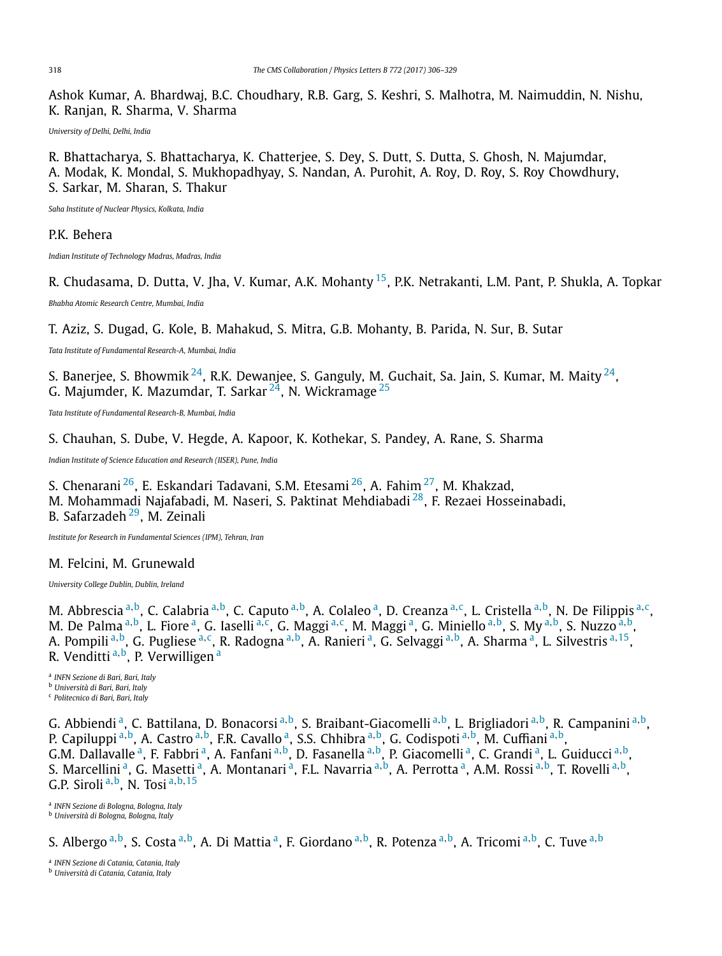Ashok Kumar, A. Bhardwaj, B.C. Choudhary, R.B. Garg, S. Keshri, S. Malhotra, M. Naimuddin, N. Nishu, K. Ranjan, R. Sharma, V. Sharma

*University of Delhi, Delhi, India*

R. Bhattacharya, S. Bhattacharya, K. Chatterjee, S. Dey, S. Dutt, S. Dutta, S. Ghosh, N. Majumdar, A. Modak, K. Mondal, S. Mukhopadhyay, S. Nandan, A. Purohit, A. Roy, D. Roy, S. Roy Chowdhury, S. Sarkar, M. Sharan, S. Thakur

*Saha Institute of Nuclear Physics, Kolkata, India*

# P.K. Behera

*Indian Institute of Technology Madras, Madras, India*

R. Chudasama, D. Dutta, V. Jha, V. Kumar, A.K. Mohanty <sup>15</sup>, P.K. Netrakanti, L.M. Pant, P. Shukla, A. Topkar

*Bhabha Atomic Research Centre, Mumbai, India*

T. Aziz, S. Dugad, G. Kole, B. Mahakud, S. Mitra, G.B. Mohanty, B. Parida, N. Sur, B. Sutar

*Tata Institute of Fundamental Research-A, Mumbai, India*

S. Banerjee, S. Bhowmik  $^{24}$ , R.K. Dewanjee, S. Ganguly, M. Guchait, Sa. Jain, S. Kumar, M. Maity  $^{24}$ , G. Majumder, K. Mazumdar, T. Sarkar  $^{24}$ , N. Wickramage  $^{25}$  $^{25}$  $^{25}$ 

*Tata Institute of Fundamental Research-B, Mumbai, India*

S. Chauhan, S. Dube, V. Hegde, A. Kapoor, K. Kothekar, S. Pandey, A. Rane, S. Sharma

*Indian Institute of Science Education and Research (IISER), Pune, India*

S. Chenarani  $^{26}$ , E. Eskandari Tadavani, S.M. Etesami  $^{26}$ , A. Fahim  $^{27}$ , M. Khakzad, M. Mohammadi Najafabadi, M. Naseri, S. Paktinat Mehdiabadi [28,](#page-22-0) F. Rezaei Hosseinabadi, B. Safarzadeh [29,](#page-22-0) M. Zeinali

*Institute for Research in Fundamental Sciences (IPM), Tehran, Iran*

# M. Felcini, M. Grunewald

*University College Dublin, Dublin, Ireland*

M. Abbrescia <sup>a</sup>*,*b, C. Calabria <sup>a</sup>*,*b, C. Caputo <sup>a</sup>*,*b, A. Colaleo a, D. Creanza <sup>a</sup>*,*c, L. Cristella <sup>a</sup>*,*b, N. De Filippis <sup>a</sup>*,*c, M. De Palma <sup>a</sup>*,*b, L. Fiore a, G. Iaselli <sup>a</sup>*,*c, G. Maggi <sup>a</sup>*,*c, M. Maggi a, G. Miniello <sup>a</sup>*,*b, S. My <sup>a</sup>*,*b, S. Nuzzo <sup>a</sup>*,*b, A. Pompili <sup>a</sup>*,*b, G. Pugliese <sup>a</sup>*,*c, R. Radogna <sup>a</sup>*,*b, A. Ranieri a, G. Selvaggi <sup>a</sup>*,*b, A. Sharma a, L. Silvestris <sup>a</sup>*,*[15,](#page-22-0) R. Venditti <sup>a</sup>*,*b, P. Verwilligen <sup>a</sup>

<sup>a</sup> *INFN Sezione di Bari, Bari, Italy*

G. Abbiendi a, C. Battilana, D. Bonacorsi <sup>a</sup>*,*b, S. Braibant-Giacomelli <sup>a</sup>*,*b, L. Brigliadori <sup>a</sup>*,*b, R. Campanini <sup>a</sup>*,*b, P. Capiluppi <sup>a</sup>*,*b, A. Castro <sup>a</sup>*,*b, F.R. Cavallo a, S.S. Chhibra <sup>a</sup>*,*b, G. Codispoti <sup>a</sup>*,*b, M. Cuffiani <sup>a</sup>*,*b, G.M. Dallavalle <sup>a</sup>, F. Fabbri <sup>a</sup>, A. Fanfani <sup>a,b</sup>, D. Fasanella <sup>a,b</sup>, P. Giacomelli <sup>a</sup>, C. Grandi <sup>a</sup>, L. Guiducci <sup>a,b</sup>, S. Marcellini a, G. Masetti a, A. Montanari a, F.L. Navarria <sup>a</sup>*,*b, A. Perrotta a, A.M. Rossi <sup>a</sup>*,*b, T. Rovelli <sup>a</sup>*,*b, G.P. Siroli <sup>a</sup>*,*b, N. Tosi <sup>a</sup>*,*b*,*[15](#page-22-0)

<sup>a</sup> *INFN Sezione di Bologna, Bologna, Italy*

<sup>b</sup> *Università di Bologna, Bologna, Italy*

S. Albergo <sup>a</sup>*,*b, S. Costa <sup>a</sup>*,*b, A. Di Mattia a, F. Giordano <sup>a</sup>*,*b, R. Potenza <sup>a</sup>*,*b, A. Tricomi <sup>a</sup>*,*b, C. Tuve <sup>a</sup>*,*<sup>b</sup>

<sup>a</sup> *INFN Sezione di Catania, Catania, Italy*

<sup>b</sup> *Università di Catania, Catania, Italy*

<sup>b</sup> *Università di Bari, Bari, Italy* <sup>c</sup> *Politecnico di Bari, Bari, Italy*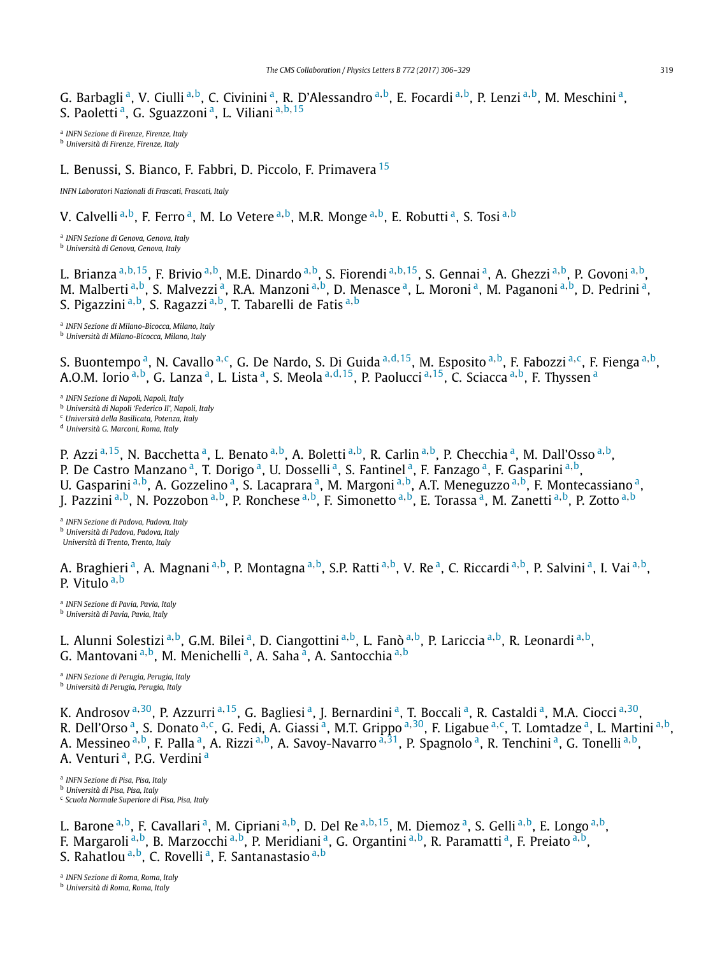G. Barbagli a, V. Ciulli <sup>a</sup>*,*b, C. Civinini a, R. D'Alessandro <sup>a</sup>*,*b, E. Focardi <sup>a</sup>*,*b, P. Lenzi <sup>a</sup>*,*b, M. Meschini a, S. Paoletti a, G. Sguazzoni a, L. Viliani <sup>a</sup>*,*b*,*[15](#page-22-0)

<sup>a</sup> *INFN Sezione di Firenze, Firenze, Italy* <sup>b</sup> *Università di Firenze, Firenze, Italy*

# L. Benussi, S. Bianco, F. Fabbri, D. Piccolo, F. Primavera [15](#page-22-0)

*INFN Laboratori Nazionali di Frascati, Frascati, Italy*

V. Calvelli <sup>a</sup>*,*b, F. Ferro a, M. Lo Vetere <sup>a</sup>*,*b, M.R. Monge <sup>a</sup>*,*b, E. Robutti a, S. Tosi <sup>a</sup>*,*<sup>b</sup>

<sup>a</sup> *INFN Sezione di Genova, Genova, Italy* <sup>b</sup> *Università di Genova, Genova, Italy*

L. Brianza <sup>a</sup>*,*b*,*[15](#page-22-0), F. Brivio <sup>a</sup>*,*b, M.E. Dinardo <sup>a</sup>*,*b, S. Fiorendi <sup>a</sup>*,*b*,*[15](#page-22-0), S. Gennai a, A. Ghezzi <sup>a</sup>*,*b, P. Govoni <sup>a</sup>*,*b, M. Malberti a,b, S. Malvezzi <sup>a</sup>, R.A. Manzoni <sup>a,b</sup>, D. Menasce <sup>a</sup>, L. Moroni <sup>a</sup>, M. Paganoni <sup>a,b</sup>, D. Pedrini <sup>a</sup>, S. Pigazzini <sup>a</sup>*,*b, S. Ragazzi <sup>a</sup>*,*b, T. Tabarelli de Fatis <sup>a</sup>*,*<sup>b</sup>

<sup>a</sup> *INFN Sezione di Milano-Bicocca, Milano, Italy*

<sup>b</sup> *Università di Milano-Bicocca, Milano, Italy*

S. Buontempo a, N. Cavallo <sup>a</sup>*,*c, G. De Nardo, S. Di Guida <sup>a</sup>*,*d*,*[15,](#page-22-0) M. Esposito <sup>a</sup>*,*b, F. Fabozzi <sup>a</sup>*,*c, F. Fienga <sup>a</sup>*,*b, A.O.M. Iorio <sup>a</sup>*,*b, G. Lanza a, L. Lista a, S. Meola <sup>a</sup>*,*d*,*[15,](#page-22-0) P. Paolucci <sup>a</sup>*,*[15,](#page-22-0) C. Sciacca <sup>a</sup>*,*b, F. Thyssen <sup>a</sup>

<sup>a</sup> *INFN Sezione di Napoli, Napoli, Italy*

<sup>b</sup> *Università di Napoli 'Federico II', Napoli, Italy*

<sup>c</sup> *Università della Basilicata, Potenza, Italy*

<sup>d</sup> *Università G. Marconi, Roma, Italy*

P. Azzi <sup>a</sup>*,*[15,](#page-22-0) N. Bacchetta a, L. Benato <sup>a</sup>*,*b, A. Boletti <sup>a</sup>*,*b, R. Carlin <sup>a</sup>*,*b, P. Checchia a, M. Dall'Osso <sup>a</sup>*,*b, P. De Castro Manzano<sup>a</sup>, T. Dorigo<sup>a</sup>, U. Dosselli<sup>a</sup>, S. Fantinel<sup>a</sup>, F. Fanzago<sup>a</sup>, F. Gasparini<sup>a, b</sup>, U. Gasparini <sup>a</sup>*,*b, A. Gozzelino a, S. Lacaprara a, M. Margoni <sup>a</sup>*,*b, A.T. Meneguzzo <sup>a</sup>*,*b, F. Montecassiano a, J. Pazzini <sup>a</sup>*,*b, N. Pozzobon <sup>a</sup>*,*b, P. Ronchese <sup>a</sup>*,*b, F. Simonetto <sup>a</sup>*,*b, E. Torassa a, M. Zanetti <sup>a</sup>*,*b, P. Zotto <sup>a</sup>*,*<sup>b</sup>

<sup>a</sup> *INFN Sezione di Padova, Padova, Italy* <sup>b</sup> *Università di Padova, Padova, Italy*

*Università di Trento, Trento, Italy*

A. Braghieri a, A. Magnani <sup>a</sup>*,*b, P. Montagna <sup>a</sup>*,*b, S.P. Ratti <sup>a</sup>*,*b, V. Re a, C. Riccardi <sup>a</sup>*,*b, P. Salvini a, I. Vai <sup>a</sup>*,*b, P. Vitulo <sup>a</sup>*,*<sup>b</sup>

<sup>a</sup> *INFN Sezione di Pavia, Pavia, Italy* <sup>b</sup> *Università di Pavia, Pavia, Italy*

L. Alunni Solestizi <sup>a</sup>*,*b, G.M. Bilei a, D. Ciangottini <sup>a</sup>*,*b, L. Fanò <sup>a</sup>*,*b, P. Lariccia <sup>a</sup>*,*b, R. Leonardi <sup>a</sup>*,*b, G. Mantovani <sup>a</sup>*,*b, M. Menichelli a, A. Saha a, A. Santocchia <sup>a</sup>*,*<sup>b</sup>

<sup>a</sup> *INFN Sezione di Perugia, Perugia, Italy* <sup>b</sup> *Università di Perugia, Perugia, Italy*

K. Androsov<sup>a,30</sup>, P. Azzurri<sup>a,15</sup>, G. Bagliesi<sup>a</sup>, J. Bernardini<sup>a</sup>, T. Boccali<sup>a</sup>, R. Castaldi<sup>a</sup>, M.A. Ciocci<sup>a,30</sup>, R. Dell'Orso a, S. Donato <sup>a</sup>*,*c, G. Fedi, A. Giassi a, M.T. Grippo <sup>a</sup>*,*[30,](#page-22-0) F. Ligabue <sup>a</sup>*,*c, T. Lomtadze a, L. Martini <sup>a</sup>*,*b, A. Messineo <sup>a</sup>*,*b, F. Palla a, A. Rizzi <sup>a</sup>*,*b, A. Savoy-Navarro <sup>a</sup>*,*[31,](#page-22-0) P. Spagnolo a, R. Tenchini a, G. Tonelli <sup>a</sup>*,*b, A. Venturi<sup>a</sup>, P.G. Verdini<sup>a</sup>

<sup>a</sup> *INFN Sezione di Pisa, Pisa, Italy* <sup>b</sup> *Università di Pisa, Pisa, Italy* <sup>c</sup> *Scuola Normale Superiore di Pisa, Pisa, Italy*

L. Barone a,b, F. Cavallari a, M. Cipriani a,b, D. Del Re a,b, [15,](#page-22-0) M. Diemoz a, S. Gelli a,b, E. Longo a,b, F. Margaroli <sup>a</sup>*,*b, B. Marzocchi <sup>a</sup>*,*b, P. Meridiani a, G. Organtini <sup>a</sup>*,*b, R. Paramatti a, F. Preiato <sup>a</sup>*,*b, S. Rahatlou <sup>a</sup>*,*b, C. Rovelli a, F. Santanastasio <sup>a</sup>*,*<sup>b</sup>

<sup>a</sup> *INFN Sezione di Roma, Roma, Italy*

<sup>b</sup> *Università di Roma, Roma, Italy*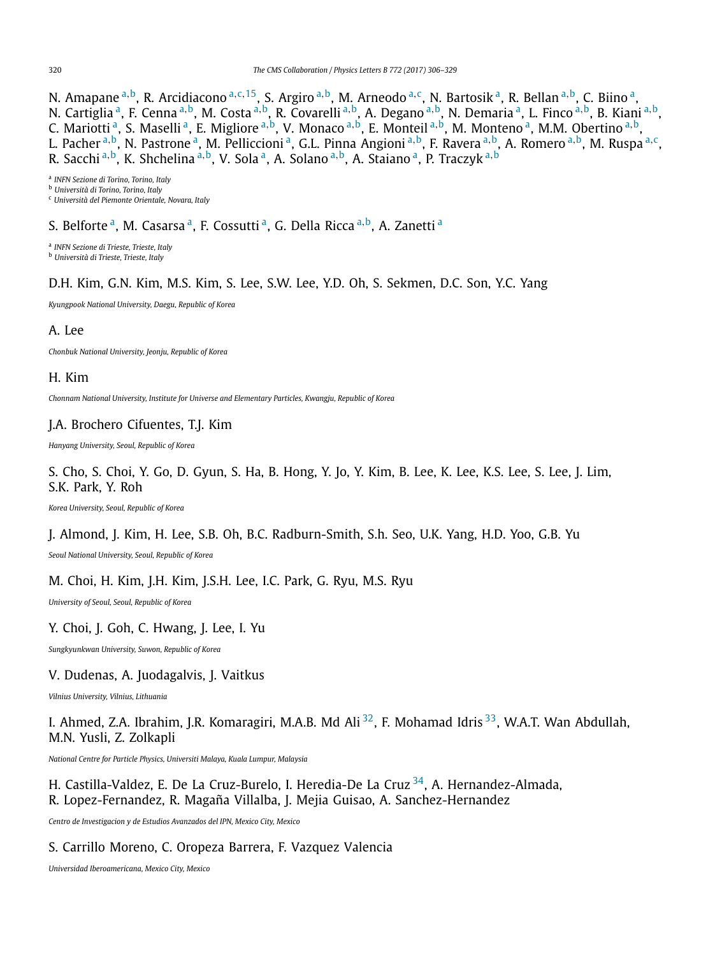N. Amapane <sup>a</sup>*,*b, R. Arcidiacono <sup>a</sup>*,*c*,*[15,](#page-22-0) S. Argiro <sup>a</sup>*,*b, M. Arneodo <sup>a</sup>*,*c, N. Bartosik a, R. Bellan <sup>a</sup>*,*b, C. Biino a, N. Cartiglia a, F. Cenna <sup>a</sup>*,*b, M. Costa <sup>a</sup>*,*b, R. Covarelli <sup>a</sup>*,*b, A. Degano <sup>a</sup>*,*b, N. Demaria a, L. Finco <sup>a</sup>*,*b, B. Kiani <sup>a</sup>*,*b, C. Mariotti a, S. Maselli a, E. Migliore <sup>a</sup>*,*b, V. Monaco <sup>a</sup>*,*b, E. Monteil <sup>a</sup>*,*b, M. Monteno a, M.M. Obertino <sup>a</sup>*,*b, L. Pacher <sup>a</sup>*,*b, N. Pastrone a, M. Pelliccioni a, G.L. Pinna Angioni <sup>a</sup>*,*b, F. Ravera <sup>a</sup>*,*b, A. Romero <sup>a</sup>*,*b, M. Ruspa <sup>a</sup>*,*c, R. Sacchi <sup>a</sup>*,*b, K. Shchelina <sup>a</sup>*,*b, V. Sola a, A. Solano <sup>a</sup>*,*b, A. Staiano a, P. Traczyk <sup>a</sup>*,*<sup>b</sup>

<sup>a</sup> *INFN Sezione di Torino, Torino, Italy* <sup>b</sup> *Università di Torino, Torino, Italy*

<sup>c</sup> *Università del Piemonte Orientale, Novara, Italy*

# S. Belforte<sup>a</sup>, M. Casarsa<sup>a</sup>, F. Cossutti<sup>a</sup>, G. Della Ricca<sup>a,b</sup>, A. Zanetti<sup>a</sup>

<sup>a</sup> *INFN Sezione di Trieste, Trieste, Italy* <sup>b</sup> *Università di Trieste, Trieste, Italy*

### D.H. Kim, G.N. Kim, M.S. Kim, S. Lee, S.W. Lee, Y.D. Oh, S. Sekmen, D.C. Son, Y.C. Yang

*Kyungpook National University, Daegu, Republic of Korea*

### A. Lee

*Chonbuk National University, Jeonju, Republic of Korea*

### H. Kim

*Chonnam National University, Institute for Universe and Elementary Particles, Kwangju, Republic of Korea*

### J.A. Brochero Cifuentes, T.J. Kim

*Hanyang University, Seoul, Republic of Korea*

# S. Cho, S. Choi, Y. Go, D. Gyun, S. Ha, B. Hong, Y. Jo, Y. Kim, B. Lee, K. Lee, K.S. Lee, S. Lee, J. Lim, S.K. Park, Y. Roh

*Korea University, Seoul, Republic of Korea*

# J. Almond, J. Kim, H. Lee, S.B. Oh, B.C. Radburn-Smith, S.h. Seo, U.K. Yang, H.D. Yoo, G.B. Yu

*Seoul National University, Seoul, Republic of Korea*

### M. Choi, H. Kim, J.H. Kim, J.S.H. Lee, I.C. Park, G. Ryu, M.S. Ryu

*University of Seoul, Seoul, Republic of Korea*

# Y. Choi, J. Goh, C. Hwang, J. Lee, I. Yu

*Sungkyunkwan University, Suwon, Republic of Korea*

## V. Dudenas, A. Juodagalvis, J. Vaitkus

*Vilnius University, Vilnius, Lithuania*

# I. Ahmed, Z.A. Ibrahim, J.R. Komaragiri, M.A.B. Md Ali  $^{32}$ , F. Mohamad Idris  $^{33}$ , W.A.T. Wan Abdullah, M.N. Yusli, Z. Zolkapli

*National Centre for Particle Physics, Universiti Malaya, Kuala Lumpur, Malaysia*

H. Castilla-Valdez, E. De La Cruz-Burelo, I. Heredia-De La Cruz  $34$ , A. Hernandez-Almada, R. Lopez-Fernandez, R. Magaña Villalba, J. Mejia Guisao, A. Sanchez-Hernandez

*Centro de Investigacion y de Estudios Avanzados del IPN, Mexico City, Mexico*

# S. Carrillo Moreno, C. Oropeza Barrera, F. Vazquez Valencia

*Universidad Iberoamericana, Mexico City, Mexico*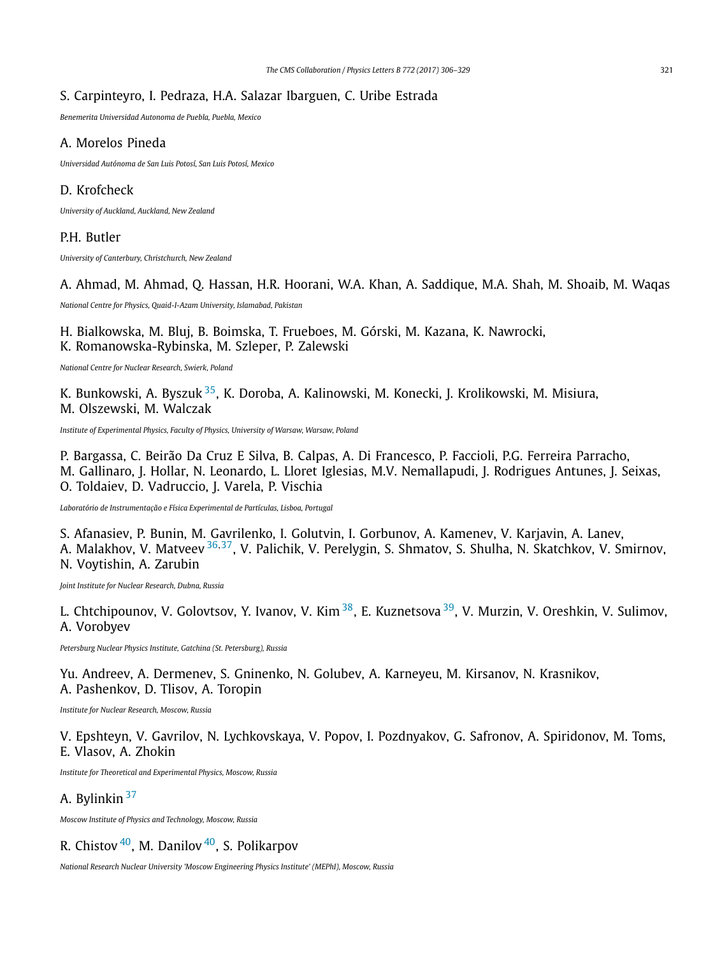# S. Carpinteyro, I. Pedraza, H.A. Salazar Ibarguen, C. Uribe Estrada

*Benemerita Universidad Autonoma de Puebla, Puebla, Mexico*

# A. Morelos Pineda

*Universidad Autónoma de San Luis Potosí, San Luis Potosí, Mexico*

# D. Krofcheck

*University of Auckland, Auckland, New Zealand*

# P.H. Butler

*University of Canterbury, Christchurch, New Zealand*

A. Ahmad, M. Ahmad, Q. Hassan, H.R. Hoorani, W.A. Khan, A. Saddique, M.A. Shah, M. Shoaib, M. Waqas

*National Centre for Physics, Quaid-I-Azam University, Islamabad, Pakistan*

H. Bialkowska, M. Bluj, B. Boimska, T. Frueboes, M. Górski, M. Kazana, K. Nawrocki, K. Romanowska-Rybinska, M. Szleper, P. Zalewski

*National Centre for Nuclear Research, Swierk, Poland*

K. Bunkowski, A. Byszuk<sup>35</sup>, K. Doroba, A. Kalinowski, M. Konecki, J. Krolikowski, M. Misiura, M. Olszewski, M. Walczak

*Institute of Experimental Physics, Faculty of Physics, University of Warsaw, Warsaw, Poland*

P. Bargassa, C. Beirão Da Cruz E Silva, B. Calpas, A. Di Francesco, P. Faccioli, P.G. Ferreira Parracho, M. Gallinaro, J. Hollar, N. Leonardo, L. Lloret Iglesias, M.V. Nemallapudi, J. Rodrigues Antunes, J. Seixas, O. Toldaiev, D. Vadruccio, J. Varela, P. Vischia

*Laboratório de Instrumentação e Física Experimental de Partículas, Lisboa, Portugal*

S. Afanasiev, P. Bunin, M. Gavrilenko, I. Golutvin, I. Gorbunov, A. Kamenev, V. Karjavin, A. Lanev, A. Malakhov, V. Matveev [36](#page-22-0)*,*[37](#page-22-0), V. Palichik, V. Perelygin, S. Shmatov, S. Shulha, N. Skatchkov, V. Smirnov, N. Voytishin, A. Zarubin

*Joint Institute for Nuclear Research, Dubna, Russia*

L. Chtchipounov, V. Golovtsov, Y. Ivanov, V. Kim<sup>38</sup>, E. Kuznetsova<sup>39</sup>, V. Murzin, V. Oreshkin, V. Sulimov, A. Vorobyev

*Petersburg Nuclear Physics Institute, Gatchina (St. Petersburg), Russia*

Yu. Andreev, A. Dermenev, S. Gninenko, N. Golubev, A. Karneyeu, M. Kirsanov, N. Krasnikov, A. Pashenkov, D. Tlisov, A. Toropin

*Institute for Nuclear Research, Moscow, Russia*

V. Epshteyn, V. Gavrilov, N. Lychkovskaya, V. Popov, I. Pozdnyakov, G. Safronov, A. Spiridonov, M. Toms, E. Vlasov, A. Zhokin

*Institute for Theoretical and Experimental Physics, Moscow, Russia*

# A. Bylinkin [37](#page-22-0)

*Moscow Institute of Physics and Technology, Moscow, Russia*

R. Chistov<sup>40</sup>, M. Danilov<sup>40</sup>, S. Polikarpov

*National Research Nuclear University 'Moscow Engineering Physics Institute' (MEPhI), Moscow, Russia*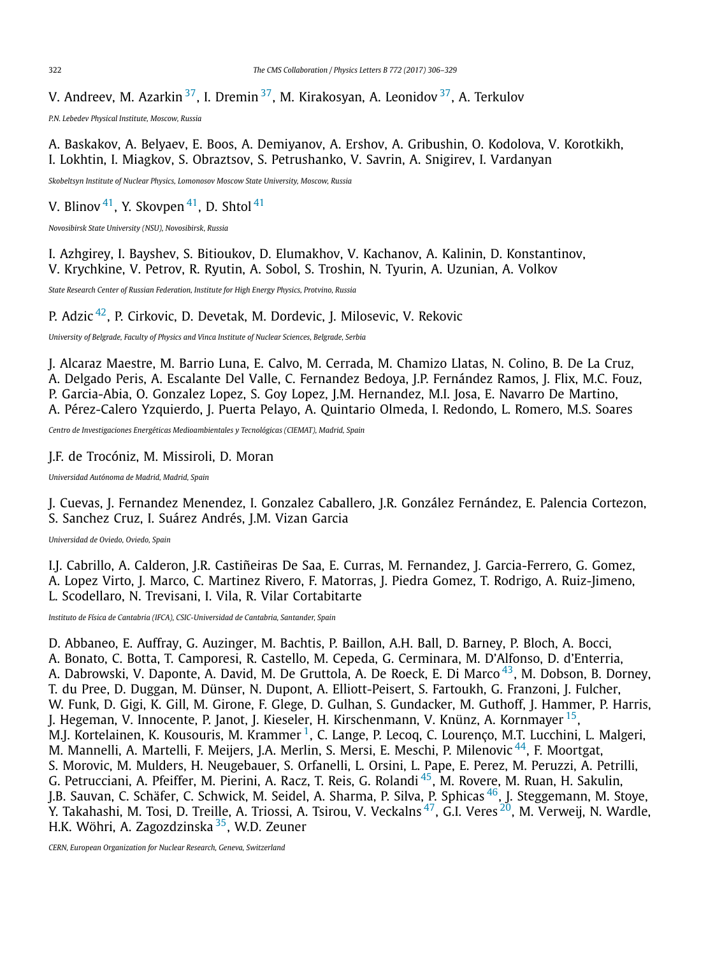# V. Andreev, M. Azarkin  $37$ , I. Dremin  $37$ , M. Kirakosyan, A. Leonidov  $37$ , A. Terkulov

*P.N. Lebedev Physical Institute, Moscow, Russia*

A. Baskakov, A. Belyaev, E. Boos, A. Demiyanov, A. Ershov, A. Gribushin, O. Kodolova, V. Korotkikh, I. Lokhtin, I. Miagkov, S. Obraztsov, S. Petrushanko, V. Savrin, A. Snigirev, I. Vardanyan

*Skobeltsyn Institute of Nuclear Physics, Lomonosov Moscow State University, Moscow, Russia*

V. Blinov  $41$ , Y. Skovpen  $41$ , D. Shtol  $41$ 

*Novosibirsk State University (NSU), Novosibirsk, Russia*

I. Azhgirey, I. Bayshev, S. Bitioukov, D. Elumakhov, V. Kachanov, A. Kalinin, D. Konstantinov, V. Krychkine, V. Petrov, R. Ryutin, A. Sobol, S. Troshin, N. Tyurin, A. Uzunian, A. Volkov

*State Research Center of Russian Federation, Institute for High Energy Physics, Protvino, Russia*

P. Adzic<sup>42</sup>, P. Cirkovic, D. Devetak, M. Dordevic, J. Milosevic, V. Rekovic

*University of Belgrade, Faculty of Physics and Vinca Institute of Nuclear Sciences, Belgrade, Serbia*

J. Alcaraz Maestre, M. Barrio Luna, E. Calvo, M. Cerrada, M. Chamizo Llatas, N. Colino, B. De La Cruz, A. Delgado Peris, A. Escalante Del Valle, C. Fernandez Bedoya, J.P. Fernández Ramos, J. Flix, M.C. Fouz, P. Garcia-Abia, O. Gonzalez Lopez, S. Goy Lopez, J.M. Hernandez, M.I. Josa, E. Navarro De Martino, A. Pérez-Calero Yzquierdo, J. Puerta Pelayo, A. Quintario Olmeda, I. Redondo, L. Romero, M.S. Soares

*Centro de Investigaciones Energéticas Medioambientales y Tecnológicas (CIEMAT), Madrid, Spain*

# J.F. de Trocóniz, M. Missiroli, D. Moran

*Universidad Autónoma de Madrid, Madrid, Spain*

J. Cuevas, J. Fernandez Menendez, I. Gonzalez Caballero, J.R. González Fernández, E. Palencia Cortezon, S. Sanchez Cruz, I. Suárez Andrés, J.M. Vizan Garcia

*Universidad de Oviedo, Oviedo, Spain*

I.J. Cabrillo, A. Calderon, J.R. Castiñeiras De Saa, E. Curras, M. Fernandez, J. Garcia-Ferrero, G. Gomez, A. Lopez Virto, J. Marco, C. Martinez Rivero, F. Matorras, J. Piedra Gomez, T. Rodrigo, A. Ruiz-Jimeno, L. Scodellaro, N. Trevisani, I. Vila, R. Vilar Cortabitarte

*Instituto de Física de Cantabria (IFCA), CSIC-Universidad de Cantabria, Santander, Spain*

D. Abbaneo, E. Auffray, G. Auzinger, M. Bachtis, P. Baillon, A.H. Ball, D. Barney, P. Bloch, A. Bocci, A. Bonato, C. Botta, T. Camporesi, R. Castello, M. Cepeda, G. Cerminara, M. D'Alfonso, D. d'Enterria, A. Dabrowski, V. Daponte, A. David, M. De Gruttola, A. De Roeck, E. Di Marco<sup>43</sup>, M. Dobson, B. Dorney, T. du Pree, D. Duggan, M. Dünser, N. Dupont, A. Elliott-Peisert, S. Fartoukh, G. Franzoni, J. Fulcher, W. Funk, D. Gigi, K. Gill, M. Girone, F. Glege, D. Gulhan, S. Gundacker, M. Guthoff, J. Hammer, P. Harris, J. Hegeman, V. Innocente, P. Janot, J. Kieseler, H. Kirschenmann, V. Knünz, A. Kornmayer [15,](#page-22-0) M.J. Kortelainen, K. Kousouris, M. Krammer<sup>1</sup>, C. Lange, P. Lecoq, C. Lourenço, M.T. Lucchini, L. Malgeri, M. Mannelli, A. Martelli, F. Meijers, J.A. Merlin, S. Mersi, E. Meschi, P. Milenovic [44](#page-22-0), F. Moortgat, S. Morovic, M. Mulders, H. Neugebauer, S. Orfanelli, L. Orsini, L. Pape, E. Perez, M. Peruzzi, A. Petrilli, G. Petrucciani, A. Pfeiffer, M. Pierini, A. Racz, T. Reis, G. Rolandi [45,](#page-22-0) M. Rovere, M. Ruan, H. Sakulin, J.B. Sauvan, C. Schäfer, C. Schwick, M. Seidel, A. Sharma, P. Silva, P. Sphicas<sup>46</sup>, J. Steggemann, M. Stoye, Y. Takahashi, M. Tosi, D. Treille, A. Triossi, A. Tsirou, V. Veckalns <sup>47</sup>, G.I. Veres <sup>20</sup>, M. Verweij, N. Wardle, H.K. Wöhri, A. Zagozdzinska<sup>35</sup>, W.D. Zeuner

*CERN, European Organization for Nuclear Research, Geneva, Switzerland*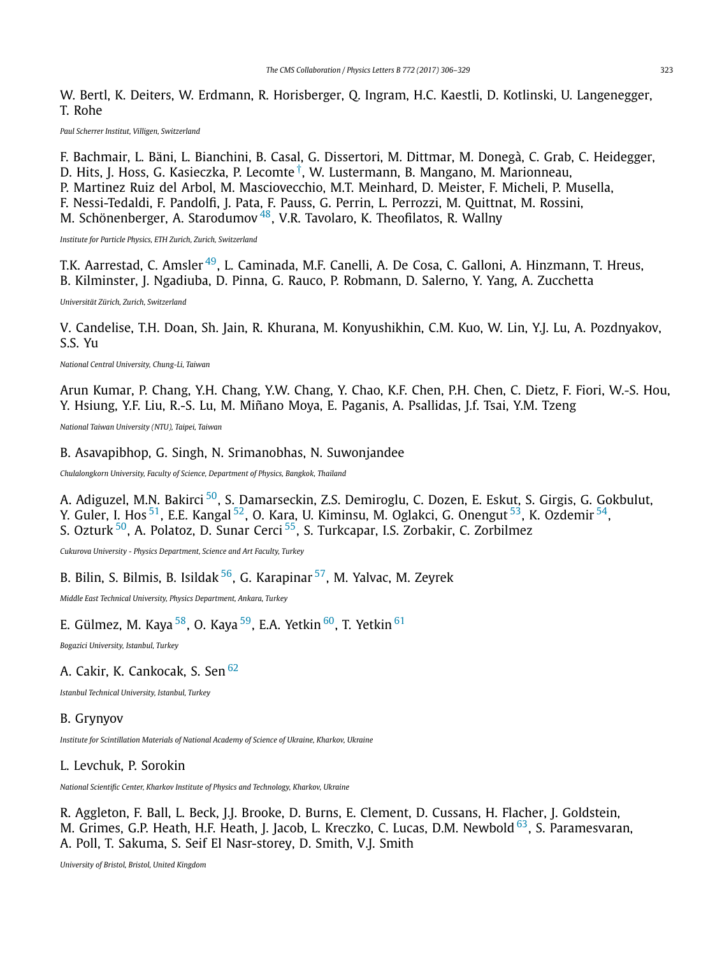W. Bertl, K. Deiters, W. Erdmann, R. Horisberger, Q. Ingram, H.C. Kaestli, D. Kotlinski, U. Langenegger, T. Rohe

*Paul Scherrer Institut, Villigen, Switzerland*

F. Bachmair, L. Bäni, L. Bianchini, B. Casal, G. Dissertori, M. Dittmar, M. Donegà, C. Grab, C. Heidegger, D. Hits, J. Hoss, G. Kasieczka, P. Lecomte [†,](#page-22-0) W. Lustermann, B. Mangano, M. Marionneau, P. Martinez Ruiz del Arbol, M. Masciovecchio, M.T. Meinhard, D. Meister, F. Micheli, P. Musella, F. Nessi-Tedaldi, F. Pandolfi, J. Pata, F. Pauss, G. Perrin, L. Perrozzi, M. Quittnat, M. Rossini, M. Schönenberger, A. Starodumov [48,](#page-23-0) V.R. Tavolaro, K. Theofilatos, R. Wallny

*Institute for Particle Physics, ETH Zurich, Zurich, Switzerland*

T.K. Aarrestad, C. Amsler<sup>49</sup>, L. Caminada, M.F. Canelli, A. De Cosa, C. Galloni, A. Hinzmann, T. Hreus, B. Kilminster, J. Ngadiuba, D. Pinna, G. Rauco, P. Robmann, D. Salerno, Y. Yang, A. Zucchetta

*Universität Zürich, Zurich, Switzerland*

V. Candelise, T.H. Doan, Sh. Jain, R. Khurana, M. Konyushikhin, C.M. Kuo, W. Lin, Y.J. Lu, A. Pozdnyakov, S.S. Yu

*National Central University, Chung-Li, Taiwan*

Arun Kumar, P. Chang, Y.H. Chang, Y.W. Chang, Y. Chao, K.F. Chen, P.H. Chen, C. Dietz, F. Fiori, W.-S. Hou, Y. Hsiung, Y.F. Liu, R.-S. Lu, M. Miñano Moya, E. Paganis, A. Psallidas, J.f. Tsai, Y.M. Tzeng

*National Taiwan University (NTU), Taipei, Taiwan*

### B. Asavapibhop, G. Singh, N. Srimanobhas, N. Suwonjandee

*Chulalongkorn University, Faculty of Science, Department of Physics, Bangkok, Thailand*

A. Adiguzel, M.N. Bakirci <sup>50</sup>, S. Damarseckin, Z.S. Demiroglu, C. Dozen, E. Eskut, S. Girgis, G. Gokbulut, Y. Guler, I. Hos<sup>51</sup>, E.E. Kangal<sup>52</sup>, O. Kara, U. Kiminsu, M. Oglakci, G. Onengut <sup>53</sup>, K. Ozdemir <sup>54</sup>, S. Ozturk [50,](#page-23-0) A. Polatoz, D. Sunar Cerci [55,](#page-23-0) S. Turkcapar, I.S. Zorbakir, C. Zorbilmez

*Cukurova University - Physics Department, Science and Art Faculty, Turkey*

B. Bilin, S. Bilmis, B. Isildak [56,](#page-23-0) G. Karapinar [57,](#page-23-0) M. Yalvac, M. Zeyrek

*Middle East Technical University, Physics Department, Ankara, Turkey*

E. Gülmez, M. Kaya  $^{58}$ , O. Kaya  $^{59}$ , E.A. Yetkin  $^{60}$ , T. Yetkin  $^{61}$  $^{61}$  $^{61}$ 

*Bogazici University, Istanbul, Turkey*

# A. Cakir, K. Cankocak, S. Sen<sup>[62](#page-23-0)</sup>

*Istanbul Technical University, Istanbul, Turkey*

# B. Grynyov

*Institute for Scintillation Materials of National Academy of Science of Ukraine, Kharkov, Ukraine*

# L. Levchuk, P. Sorokin

*National Scientific Center, Kharkov Institute of Physics and Technology, Kharkov, Ukraine*

R. Aggleton, F. Ball, L. Beck, J.J. Brooke, D. Burns, E. Clement, D. Cussans, H. Flacher, J. Goldstein, M. Grimes, G.P. Heath, H.F. Heath, J. Jacob, L. Kreczko, C. Lucas, D.M. Newbold <sup>63</sup>, S. Paramesvaran, A. Poll, T. Sakuma, S. Seif El Nasr-storey, D. Smith, V.J. Smith

*University of Bristol, Bristol, United Kingdom*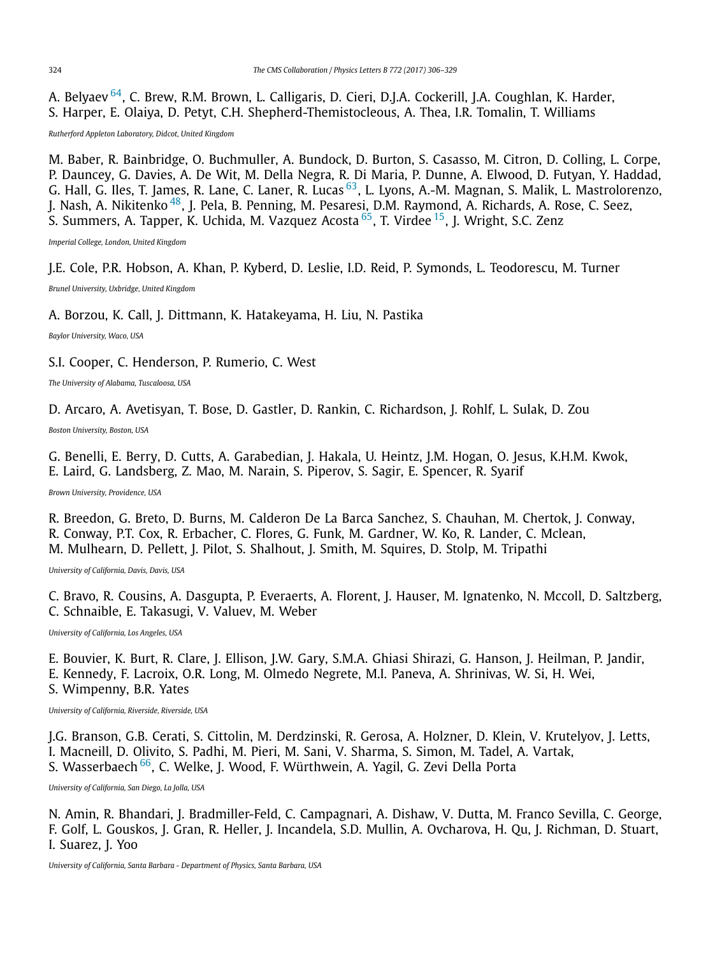A. Belyaev [64,](#page-23-0) C. Brew, R.M. Brown, L. Calligaris, D. Cieri, D.J.A. Cockerill, J.A. Coughlan, K. Harder, S. Harper, E. Olaiya, D. Petyt, C.H. Shepherd-Themistocleous, A. Thea, I.R. Tomalin, T. Williams

*Rutherford Appleton Laboratory, Didcot, United Kingdom*

M. Baber, R. Bainbridge, O. Buchmuller, A. Bundock, D. Burton, S. Casasso, M. Citron, D. Colling, L. Corpe, P. Dauncey, G. Davies, A. De Wit, M. Della Negra, R. Di Maria, P. Dunne, A. Elwood, D. Futyan, Y. Haddad, G. Hall, G. Iles, T. James, R. Lane, C. Laner, R. Lucas<sup>63</sup>, L. Lyons, A.-M. Magnan, S. Malik, L. Mastrolorenzo, J. Nash, A. Nikitenko [48,](#page-23-0) J. Pela, B. Penning, M. Pesaresi, D.M. Raymond, A. Richards, A. Rose, C. Seez, S. Summers, A. Tapper, K. Uchida, M. Vazquez Acosta [65,](#page-23-0) T. Virdee [15,](#page-22-0) J. Wright, S.C. Zenz

*Imperial College, London, United Kingdom*

J.E. Cole, P.R. Hobson, A. Khan, P. Kyberd, D. Leslie, I.D. Reid, P. Symonds, L. Teodorescu, M. Turner

*Brunel University, Uxbridge, United Kingdom*

## A. Borzou, K. Call, J. Dittmann, K. Hatakeyama, H. Liu, N. Pastika

*Baylor University, Waco, USA*

# S.I. Cooper, C. Henderson, P. Rumerio, C. West

*The University of Alabama, Tuscaloosa, USA*

D. Arcaro, A. Avetisyan, T. Bose, D. Gastler, D. Rankin, C. Richardson, J. Rohlf, L. Sulak, D. Zou

*Boston University, Boston, USA*

G. Benelli, E. Berry, D. Cutts, A. Garabedian, J. Hakala, U. Heintz, J.M. Hogan, O. Jesus, K.H.M. Kwok, E. Laird, G. Landsberg, Z. Mao, M. Narain, S. Piperov, S. Sagir, E. Spencer, R. Syarif

*Brown University, Providence, USA*

R. Breedon, G. Breto, D. Burns, M. Calderon De La Barca Sanchez, S. Chauhan, M. Chertok, J. Conway, R. Conway, P.T. Cox, R. Erbacher, C. Flores, G. Funk, M. Gardner, W. Ko, R. Lander, C. Mclean, M. Mulhearn, D. Pellett, J. Pilot, S. Shalhout, J. Smith, M. Squires, D. Stolp, M. Tripathi

*University of California, Davis, Davis, USA*

C. Bravo, R. Cousins, A. Dasgupta, P. Everaerts, A. Florent, J. Hauser, M. Ignatenko, N. Mccoll, D. Saltzberg, C. Schnaible, E. Takasugi, V. Valuev, M. Weber

*University of California, Los Angeles, USA*

E. Bouvier, K. Burt, R. Clare, J. Ellison, J.W. Gary, S.M.A. Ghiasi Shirazi, G. Hanson, J. Heilman, P. Jandir, E. Kennedy, F. Lacroix, O.R. Long, M. Olmedo Negrete, M.I. Paneva, A. Shrinivas, W. Si, H. Wei, S. Wimpenny, B.R. Yates

*University of California, Riverside, Riverside, USA*

J.G. Branson, G.B. Cerati, S. Cittolin, M. Derdzinski, R. Gerosa, A. Holzner, D. Klein, V. Krutelyov, J. Letts, I. Macneill, D. Olivito, S. Padhi, M. Pieri, M. Sani, V. Sharma, S. Simon, M. Tadel, A. Vartak, S. Wasserbaech <sup>[66](#page-23-0)</sup>, C. Welke, J. Wood, F. Würthwein, A. Yagil, G. Zevi Della Porta

*University of California, San Diego, La Jolla, USA*

N. Amin, R. Bhandari, J. Bradmiller-Feld, C. Campagnari, A. Dishaw, V. Dutta, M. Franco Sevilla, C. George, F. Golf, L. Gouskos, J. Gran, R. Heller, J. Incandela, S.D. Mullin, A. Ovcharova, H. Qu, J. Richman, D. Stuart, I. Suarez, J. Yoo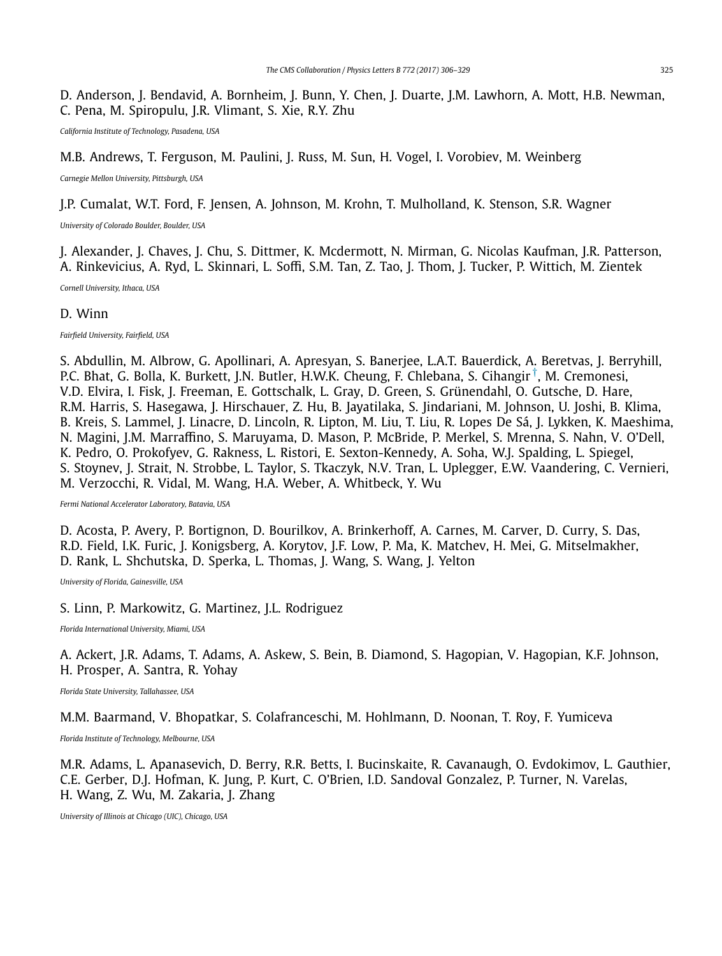# D. Anderson, J. Bendavid, A. Bornheim, J. Bunn, Y. Chen, J. Duarte, J.M. Lawhorn, A. Mott, H.B. Newman, C. Pena, M. Spiropulu, J.R. Vlimant, S. Xie, R.Y. Zhu

*California Institute of Technology, Pasadena, USA*

M.B. Andrews, T. Ferguson, M. Paulini, J. Russ, M. Sun, H. Vogel, I. Vorobiev, M. Weinberg

*Carnegie Mellon University, Pittsburgh, USA*

J.P. Cumalat, W.T. Ford, F. Jensen, A. Johnson, M. Krohn, T. Mulholland, K. Stenson, S.R. Wagner

*University of Colorado Boulder, Boulder, USA*

J. Alexander, J. Chaves, J. Chu, S. Dittmer, K. Mcdermott, N. Mirman, G. Nicolas Kaufman, J.R. Patterson, A. Rinkevicius, A. Ryd, L. Skinnari, L. Soffi, S.M. Tan, Z. Tao, J. Thom, J. Tucker, P. Wittich, M. Zientek

*Cornell University, Ithaca, USA*

# D. Winn

*Fairfield University, Fairfield, USA*

S. Abdullin, M. Albrow, G. Apollinari, A. Apresyan, S. Banerjee, L.A.T. Bauerdick, A. Beretvas, J. Berryhill, P.C. Bhat, G. Bolla, K. Burkett, J.N. Butler, H.W.K. Cheung, F. Chlebana, S. Cihangir [†,](#page-22-0) M. Cremonesi, V.D. Elvira, I. Fisk, J. Freeman, E. Gottschalk, L. Gray, D. Green, S. Grünendahl, O. Gutsche, D. Hare, R.M. Harris, S. Hasegawa, J. Hirschauer, Z. Hu, B. Jayatilaka, S. Jindariani, M. Johnson, U. Joshi, B. Klima, B. Kreis, S. Lammel, J. Linacre, D. Lincoln, R. Lipton, M. Liu, T. Liu, R. Lopes De Sá, J. Lykken, K. Maeshima, N. Magini, J.M. Marraffino, S. Maruyama, D. Mason, P. McBride, P. Merkel, S. Mrenna, S. Nahn, V. O'Dell, K. Pedro, O. Prokofyev, G. Rakness, L. Ristori, E. Sexton-Kennedy, A. Soha, W.J. Spalding, L. Spiegel, S. Stoynev, J. Strait, N. Strobbe, L. Taylor, S. Tkaczyk, N.V. Tran, L. Uplegger, E.W. Vaandering, C. Vernieri, M. Verzocchi, R. Vidal, M. Wang, H.A. Weber, A. Whitbeck, Y. Wu

*Fermi National Accelerator Laboratory, Batavia, USA*

D. Acosta, P. Avery, P. Bortignon, D. Bourilkov, A. Brinkerhoff, A. Carnes, M. Carver, D. Curry, S. Das, R.D. Field, I.K. Furic, J. Konigsberg, A. Korytov, J.F. Low, P. Ma, K. Matchev, H. Mei, G. Mitselmakher, D. Rank, L. Shchutska, D. Sperka, L. Thomas, J. Wang, S. Wang, J. Yelton

*University of Florida, Gainesville, USA*

S. Linn, P. Markowitz, G. Martinez, J.L. Rodriguez

*Florida International University, Miami, USA*

A. Ackert, J.R. Adams, T. Adams, A. Askew, S. Bein, B. Diamond, S. Hagopian, V. Hagopian, K.F. Johnson, H. Prosper, A. Santra, R. Yohay

*Florida State University, Tallahassee, USA*

M.M. Baarmand, V. Bhopatkar, S. Colafranceschi, M. Hohlmann, D. Noonan, T. Roy, F. Yumiceva

*Florida Institute of Technology, Melbourne, USA*

M.R. Adams, L. Apanasevich, D. Berry, R.R. Betts, I. Bucinskaite, R. Cavanaugh, O. Evdokimov, L. Gauthier, C.E. Gerber, D.J. Hofman, K. Jung, P. Kurt, C. O'Brien, I.D. Sandoval Gonzalez, P. Turner, N. Varelas, H. Wang, Z. Wu, M. Zakaria, J. Zhang

*University of Illinois at Chicago (UIC), Chicago, USA*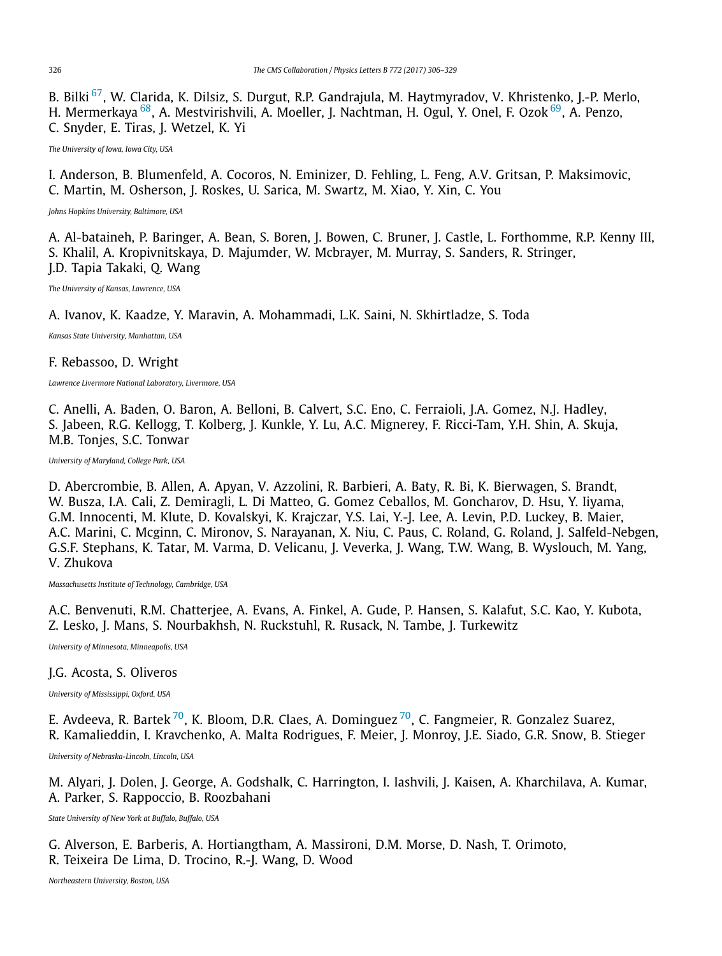B. Bilki [67,](#page-23-0) W. Clarida, K. Dilsiz, S. Durgut, R.P. Gandrajula, M. Haytmyradov, V. Khristenko, J.-P. Merlo, H. Mermerkaya [68,](#page-23-0) A. Mestvirishvili, A. Moeller, J. Nachtman, H. Ogul, Y. Onel, F. Ozok [69,](#page-23-0) A. Penzo, C. Snyder, E. Tiras, J. Wetzel, K. Yi

*The University of Iowa, Iowa City, USA*

I. Anderson, B. Blumenfeld, A. Cocoros, N. Eminizer, D. Fehling, L. Feng, A.V. Gritsan, P. Maksimovic, C. Martin, M. Osherson, J. Roskes, U. Sarica, M. Swartz, M. Xiao, Y. Xin, C. You

*Johns Hopkins University, Baltimore, USA*

A. Al-bataineh, P. Baringer, A. Bean, S. Boren, J. Bowen, C. Bruner, J. Castle, L. Forthomme, R.P. Kenny III, S. Khalil, A. Kropivnitskaya, D. Majumder, W. Mcbrayer, M. Murray, S. Sanders, R. Stringer, J.D. Tapia Takaki, Q. Wang

*The University of Kansas, Lawrence, USA*

A. Ivanov, K. Kaadze, Y. Maravin, A. Mohammadi, L.K. Saini, N. Skhirtladze, S. Toda

*Kansas State University, Manhattan, USA*

F. Rebassoo, D. Wright

*Lawrence Livermore National Laboratory, Livermore, USA*

C. Anelli, A. Baden, O. Baron, A. Belloni, B. Calvert, S.C. Eno, C. Ferraioli, J.A. Gomez, N.J. Hadley, S. Jabeen, R.G. Kellogg, T. Kolberg, J. Kunkle, Y. Lu, A.C. Mignerey, F. Ricci-Tam, Y.H. Shin, A. Skuja, M.B. Tonjes, S.C. Tonwar

*University of Maryland, College Park, USA*

D. Abercrombie, B. Allen, A. Apyan, V. Azzolini, R. Barbieri, A. Baty, R. Bi, K. Bierwagen, S. Brandt, W. Busza, I.A. Cali, Z. Demiragli, L. Di Matteo, G. Gomez Ceballos, M. Goncharov, D. Hsu, Y. Iiyama, G.M. Innocenti, M. Klute, D. Kovalskyi, K. Krajczar, Y.S. Lai, Y.-J. Lee, A. Levin, P.D. Luckey, B. Maier, A.C. Marini, C. Mcginn, C. Mironov, S. Narayanan, X. Niu, C. Paus, C. Roland, G. Roland, J. Salfeld-Nebgen, G.S.F. Stephans, K. Tatar, M. Varma, D. Velicanu, J. Veverka, J. Wang, T.W. Wang, B. Wyslouch, M. Yang, V. Zhukova

*Massachusetts Institute of Technology, Cambridge, USA*

A.C. Benvenuti, R.M. Chatterjee, A. Evans, A. Finkel, A. Gude, P. Hansen, S. Kalafut, S.C. Kao, Y. Kubota, Z. Lesko, J. Mans, S. Nourbakhsh, N. Ruckstuhl, R. Rusack, N. Tambe, J. Turkewitz

*University of Minnesota, Minneapolis, USA*

# J.G. Acosta, S. Oliveros

*University of Mississippi, Oxford, USA*

E. Avdeeva, R. Bartek<sup>70</sup>, K. Bloom, D.R. Claes, A. Dominguez<sup>70</sup>, C. Fangmeier, R. Gonzalez Suarez, R. Kamalieddin, I. Kravchenko, A. Malta Rodrigues, F. Meier, J. Monroy, J.E. Siado, G.R. Snow, B. Stieger

*University of Nebraska-Lincoln, Lincoln, USA*

M. Alyari, J. Dolen, J. George, A. Godshalk, C. Harrington, I. Iashvili, J. Kaisen, A. Kharchilava, A. Kumar, A. Parker, S. Rappoccio, B. Roozbahani

*State University of New York at Buffalo, Buffalo, USA*

G. Alverson, E. Barberis, A. Hortiangtham, A. Massironi, D.M. Morse, D. Nash, T. Orimoto, R. Teixeira De Lima, D. Trocino, R.-J. Wang, D. Wood

*Northeastern University, Boston, USA*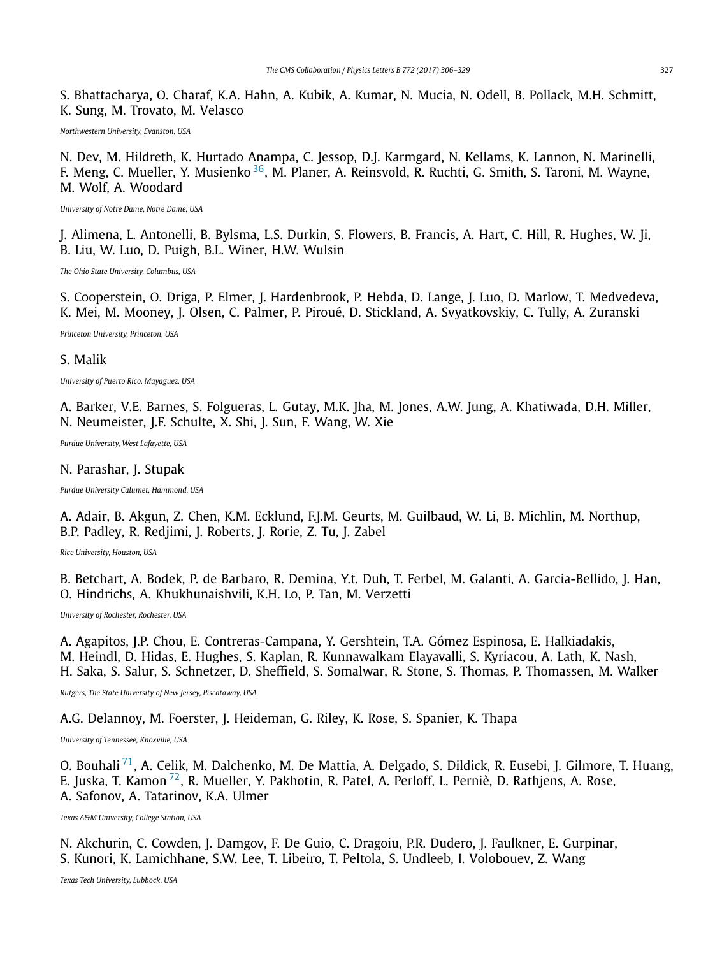S. Bhattacharya, O. Charaf, K.A. Hahn, A. Kubik, A. Kumar, N. Mucia, N. Odell, B. Pollack, M.H. Schmitt, K. Sung, M. Trovato, M. Velasco

*Northwestern University, Evanston, USA*

N. Dev, M. Hildreth, K. Hurtado Anampa, C. Jessop, D.J. Karmgard, N. Kellams, K. Lannon, N. Marinelli, F. Meng, C. Mueller, Y. Musienko [36](#page-22-0), M. Planer, A. Reinsvold, R. Ruchti, G. Smith, S. Taroni, M. Wayne, M. Wolf, A. Woodard

*University of Notre Dame, Notre Dame, USA*

J. Alimena, L. Antonelli, B. Bylsma, L.S. Durkin, S. Flowers, B. Francis, A. Hart, C. Hill, R. Hughes, W. Ji, B. Liu, W. Luo, D. Puigh, B.L. Winer, H.W. Wulsin

*The Ohio State University, Columbus, USA*

S. Cooperstein, O. Driga, P. Elmer, J. Hardenbrook, P. Hebda, D. Lange, J. Luo, D. Marlow, T. Medvedeva, K. Mei, M. Mooney, J. Olsen, C. Palmer, P. Piroué, D. Stickland, A. Svyatkovskiy, C. Tully, A. Zuranski

*Princeton University, Princeton, USA*

### S. Malik

*University of Puerto Rico, Mayaguez, USA*

A. Barker, V.E. Barnes, S. Folgueras, L. Gutay, M.K. Jha, M. Jones, A.W. Jung, A. Khatiwada, D.H. Miller, N. Neumeister, J.F. Schulte, X. Shi, J. Sun, F. Wang, W. Xie

*Purdue University, West Lafayette, USA*

### N. Parashar, J. Stupak

*Purdue University Calumet, Hammond, USA*

A. Adair, B. Akgun, Z. Chen, K.M. Ecklund, F.J.M. Geurts, M. Guilbaud, W. Li, B. Michlin, M. Northup, B.P. Padley, R. Redjimi, J. Roberts, J. Rorie, Z. Tu, J. Zabel

*Rice University, Houston, USA*

B. Betchart, A. Bodek, P. de Barbaro, R. Demina, Y.t. Duh, T. Ferbel, M. Galanti, A. Garcia-Bellido, J. Han, O. Hindrichs, A. Khukhunaishvili, K.H. Lo, P. Tan, M. Verzetti

*University of Rochester, Rochester, USA*

A. Agapitos, J.P. Chou, E. Contreras-Campana, Y. Gershtein, T.A. Gómez Espinosa, E. Halkiadakis, M. Heindl, D. Hidas, E. Hughes, S. Kaplan, R. Kunnawalkam Elayavalli, S. Kyriacou, A. Lath, K. Nash, H. Saka, S. Salur, S. Schnetzer, D. Sheffield, S. Somalwar, R. Stone, S. Thomas, P. Thomassen, M. Walker

*Rutgers, The State University of New Jersey, Piscataway, USA*

A.G. Delannoy, M. Foerster, J. Heideman, G. Riley, K. Rose, S. Spanier, K. Thapa

*University of Tennessee, Knoxville, USA*

O. Bouhali<sup>71</sup>, A. Celik, M. Dalchenko, M. De Mattia, A. Delgado, S. Dildick, R. Eusebi, J. Gilmore, T. Huang, E. Juska, T. Kamon [72,](#page-23-0) R. Mueller, Y. Pakhotin, R. Patel, A. Perloff, L. Perniè, D. Rathjens, A. Rose, A. Safonov, A. Tatarinov, K.A. Ulmer

*Texas A&M University, College Station, USA*

N. Akchurin, C. Cowden, J. Damgov, F. De Guio, C. Dragoiu, P.R. Dudero, J. Faulkner, E. Gurpinar, S. Kunori, K. Lamichhane, S.W. Lee, T. Libeiro, T. Peltola, S. Undleeb, I. Volobouev, Z. Wang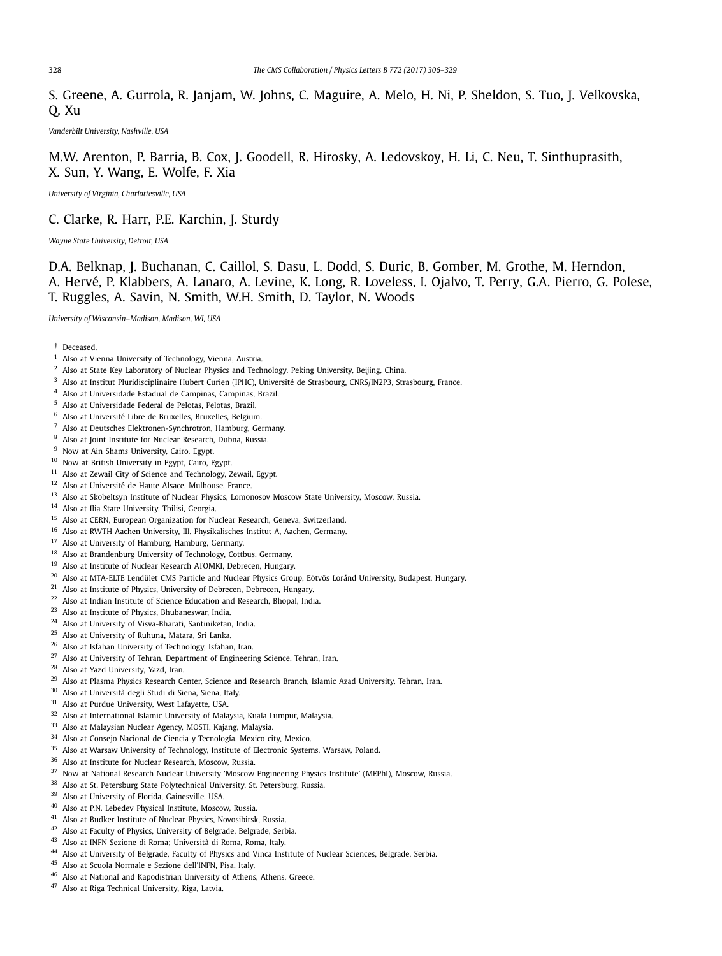# <span id="page-22-0"></span>S. Greene, A. Gurrola, R. Janjam, W. Johns, C. Maguire, A. Melo, H. Ni, P. Sheldon, S. Tuo, J. Velkovska, Q. Xu

*Vanderbilt University, Nashville, USA*

# M.W. Arenton, P. Barria, B. Cox, J. Goodell, R. Hirosky, A. Ledovskoy, H. Li, C. Neu, T. Sinthuprasith, X. Sun, Y. Wang, E. Wolfe, F. Xia

*University of Virginia, Charlottesville, USA*

# C. Clarke, R. Harr, P.E. Karchin, J. Sturdy

*Wayne State University, Detroit, USA*

D.A. Belknap, J. Buchanan, C. Caillol, S. Dasu, L. Dodd, S. Duric, B. Gomber, M. Grothe, M. Herndon, A. Hervé, P. Klabbers, A. Lanaro, A. Levine, K. Long, R. Loveless, I. Ojalvo, T. Perry, G.A. Pierro, G. Polese, T. Ruggles, A. Savin, N. Smith, W.H. Smith, D. Taylor, N. Woods

*University of Wisconsin–Madison, Madison, WI, USA*

† Deceased.

- <sup>1</sup> Also at Vienna University of Technology, Vienna, Austria.
- <sup>2</sup> Also at State Key Laboratory of Nuclear Physics and Technology, Peking University, Beijing, China.
- Also at Institut Pluridisciplinaire Hubert Curien (IPHC), Université de Strasbourg, CNRS/IN2P3, Strasbourg, France.
- Also at Universidade Estadual de Campinas, Campinas, Brazil.
- Also at Universidade Federal de Pelotas, Pelotas, Brazil.
- Also at Université Libre de Bruxelles, Bruxelles, Belgium.
- Also at Deutsches Elektronen-Synchrotron, Hamburg, Germany.
- Also at Joint Institute for Nuclear Research, Dubna, Russia.
- <sup>9</sup> Now at Ain Shams University, Cairo, Egypt.
- Now at British University in Egypt, Cairo, Egypt.
- Also at Zewail City of Science and Technology, Zewail, Egypt.
- Also at Université de Haute Alsace, Mulhouse, France.
- Also at Skobeltsyn Institute of Nuclear Physics, Lomonosov Moscow State University, Moscow, Russia.
- Also at Ilia State University, Tbilisi, Georgia.
- Also at CERN, European Organization for Nuclear Research, Geneva, Switzerland.
- Also at RWTH Aachen University, III. Physikalisches Institut A, Aachen, Germany.
- Also at University of Hamburg, Hamburg, Germany.
- Also at Brandenburg University of Technology, Cottbus, Germany.
- Also at Institute of Nuclear Research ATOMKI, Debrecen, Hungary.
- <sup>20</sup> Also at MTA-ELTE Lendület CMS Particle and Nuclear Physics Group, Eötvös Loránd University, Budapest, Hungary.
- Also at Institute of Physics, University of Debrecen, Debrecen, Hungary.
- Also at Indian Institute of Science Education and Research, Bhopal, India.
- Also at Institute of Physics, Bhubaneswar, India.
- Also at University of Visva-Bharati, Santiniketan, India.
- Also at University of Ruhuna, Matara, Sri Lanka.
- Also at Isfahan University of Technology, Isfahan, Iran.
- Also at University of Tehran, Department of Engineering Science, Tehran, Iran.
- Also at Yazd University, Yazd, Iran.
- Also at Plasma Physics Research Center, Science and Research Branch, Islamic Azad University, Tehran, Iran.
- Also at Università degli Studi di Siena, Siena, Italy.
- Also at Purdue University, West Lafayette, USA.
- <sup>32</sup> Also at International Islamic University of Malaysia, Kuala Lumpur, Malaysia.
- Also at Malaysian Nuclear Agency, MOSTI, Kajang, Malaysia.
- Also at Consejo Nacional de Ciencia y Tecnología, Mexico city, Mexico.
- <sup>35</sup> Also at Warsaw University of Technology, Institute of Electronic Systems, Warsaw, Poland.
- <sup>36</sup> Also at Institute for Nuclear Research, Moscow, Russia.
- Now at National Research Nuclear University 'Moscow Engineering Physics Institute' (MEPhI), Moscow, Russia.
- Also at St. Petersburg State Polytechnical University, St. Petersburg, Russia.
- Also at University of Florida, Gainesville, USA.
- Also at P.N. Lebedev Physical Institute, Moscow, Russia.
- Also at Budker Institute of Nuclear Physics, Novosibirsk, Russia.
- 42 Also at Faculty of Physics, University of Belgrade, Belgrade, Serbia.
- Also at INFN Sezione di Roma; Università di Roma, Roma, Italy.
- 44 Also at University of Belgrade, Faculty of Physics and Vinca Institute of Nuclear Sciences, Belgrade, Serbia.
- Also at Scuola Normale e Sezione dell'INFN, Pisa, Italy.
- <sup>46</sup> Also at National and Kapodistrian University of Athens, Athens, Greece.
- Also at Riga Technical University, Riga, Latvia.